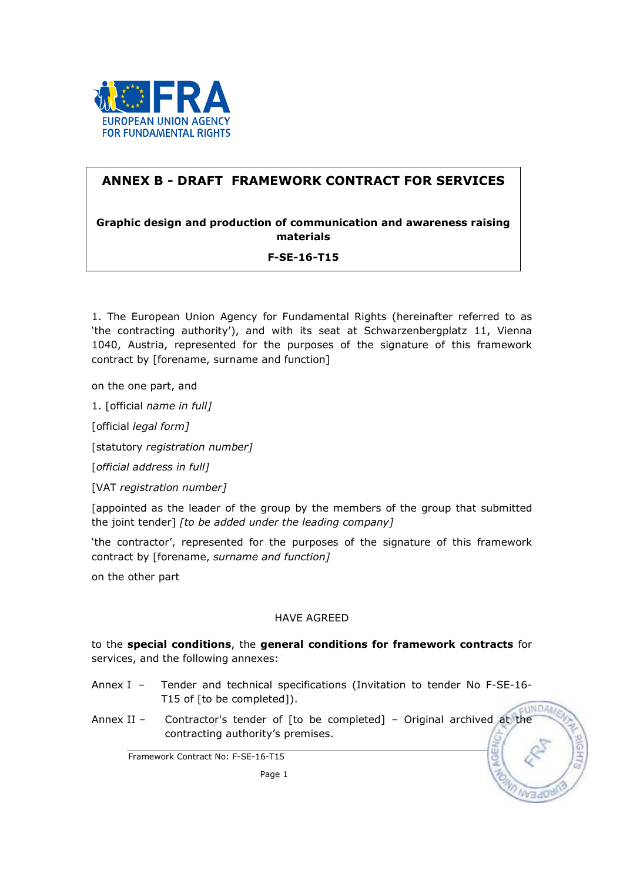

# ANNEX B - DRAFT FRAMEWORK CONTRACT FOR SERVICES

## Graphic design and production of communication and awareness raising materials

## F-SE-16-T15

1. The European Union Agency for Fundamental Rights (hereinafter referred to as 'the contracting authority'), and with its seat at Schwarzenbergplatz 11, Vienna 1040, Austria, represented for the purposes of the signature of this framework contract by [forename, surname and function]

on the one part, and

1. [official name in full]

[official legal form]

[statutory registration number]

[official address in full]

[VAT registration number]

[appointed as the leader of the group by the members of the group that submitted the joint tender] [to be added under the leading company]

'the contractor', represented for the purposes of the signature of this framework contract by [forename, surname and function]

on the other part

## HAVE AGREED

to the special conditions, the general conditions for framework contracts for services, and the following annexes:

- Annex I Tender and technical specifications (Invitation to tender No F-SE-16- T15 of [to be completed]). **UNDAA**
- Annex II Contractor's tender of [to be completed] Original archived at the contracting authority's premises.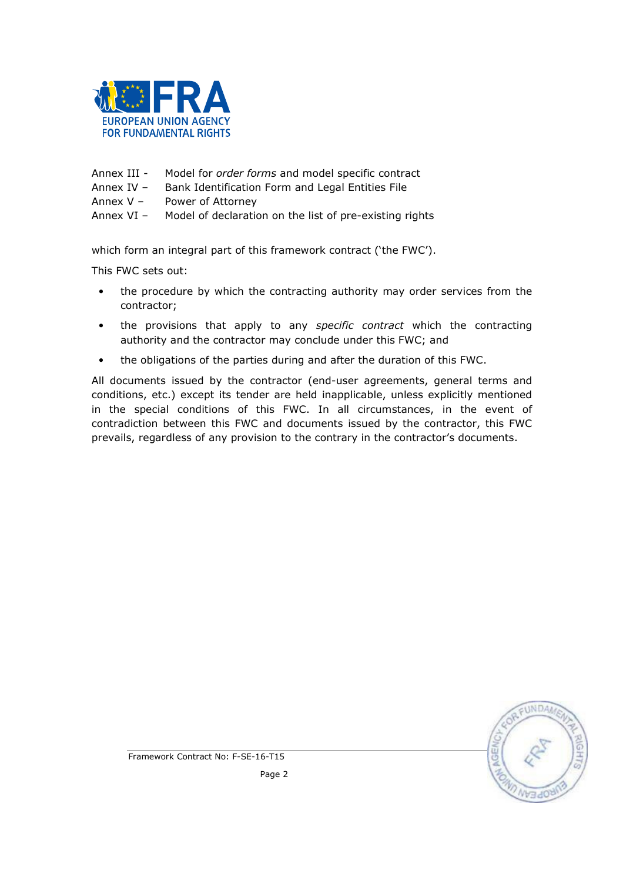

- Annex III Model for order forms and model specific contract
- Annex IV Bank Identification Form and Legal Entities File
- Annex V Power of Attorney
- Annex VI Model of declaration on the list of pre-existing rights

which form an integral part of this framework contract ('the FWC').

This FWC sets out:

- the procedure by which the contracting authority may order services from the contractor;
- the provisions that apply to any specific contract which the contracting authority and the contractor may conclude under this FWC; and
- the obligations of the parties during and after the duration of this FWC.

All documents issued by the contractor (end-user agreements, general terms and conditions, etc.) except its tender are held inapplicable, unless explicitly mentioned in the special conditions of this FWC. In all circumstances, in the event of contradiction between this FWC and documents issued by the contractor, this FWC prevails, regardless of any provision to the contrary in the contractor's documents.

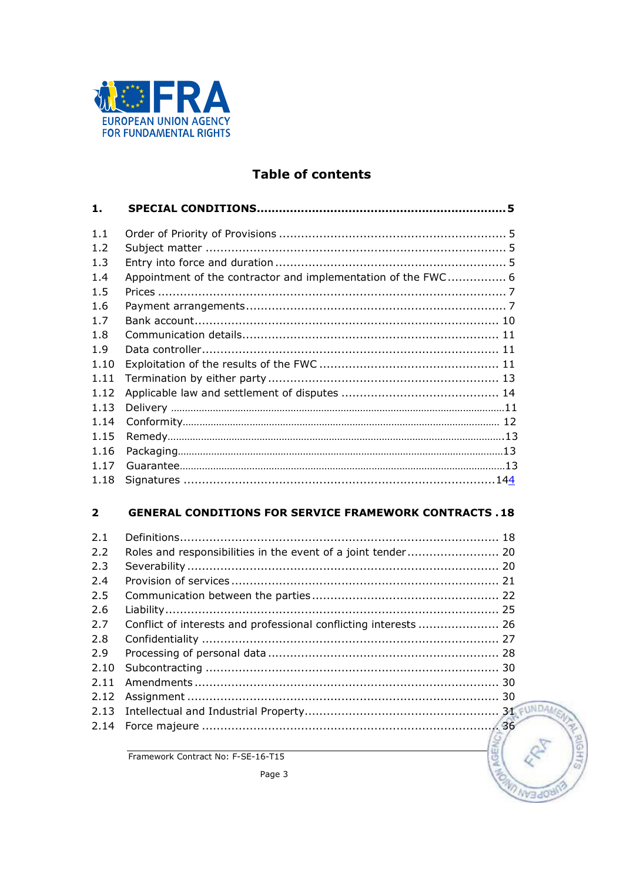

# **Table of contents**

| 1.             |                                                               |  |
|----------------|---------------------------------------------------------------|--|
|                |                                                               |  |
| 1.1            |                                                               |  |
| 1.2            |                                                               |  |
| 1.3            |                                                               |  |
| 1.4            | Appointment of the contractor and implementation of the FWC 6 |  |
| 1.5            |                                                               |  |
| 1.6            |                                                               |  |
| 1 <sub>7</sub> |                                                               |  |
| 1.8            |                                                               |  |
| 1.9            |                                                               |  |
| 1.10           |                                                               |  |
| 1.11           |                                                               |  |
| 1.12           |                                                               |  |
| 1.13           |                                                               |  |
| 1.14           |                                                               |  |
| 1.15           |                                                               |  |
| 1.16           |                                                               |  |
| 1.17           |                                                               |  |
| 1.18           |                                                               |  |
|                |                                                               |  |
|                |                                                               |  |

#### $\overline{2}$ **GENERAL CONDITIONS FOR SERVICE FRAMEWORK CONTRACTS .18**

| 2.1 |                                                              |  |
|-----|--------------------------------------------------------------|--|
| 2.2 | Roles and responsibilities in the event of a joint tender 20 |  |
| 2.3 |                                                              |  |
| 2.4 |                                                              |  |
| 2.5 |                                                              |  |
| 2.6 |                                                              |  |
| 2.7 |                                                              |  |
| 2.8 |                                                              |  |
| 2.9 |                                                              |  |
|     |                                                              |  |
|     |                                                              |  |
|     |                                                              |  |
|     |                                                              |  |
|     |                                                              |  |
|     |                                                              |  |

**UNDA** 

**GLE** 

**NGEA** 

Relis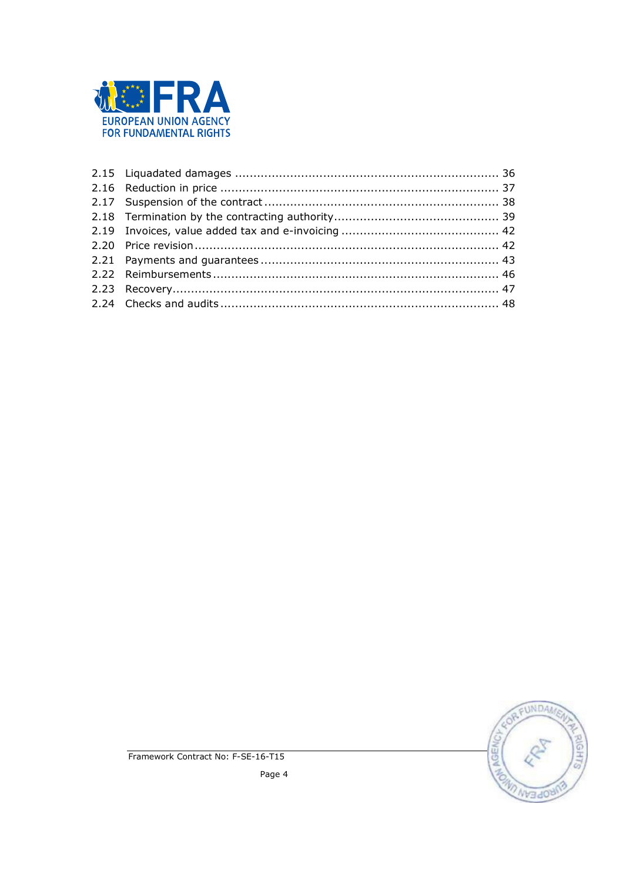

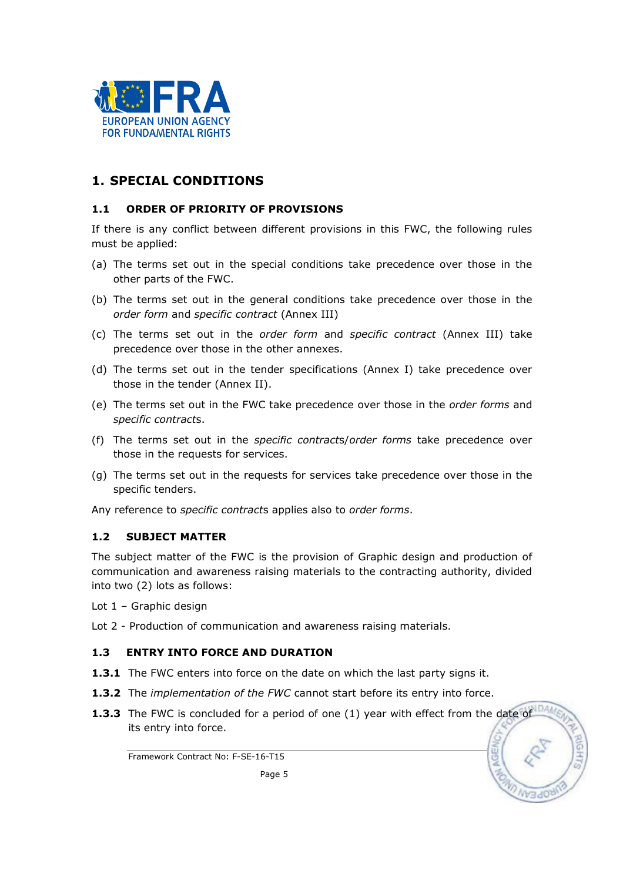

# 1. SPECIAL CONDITIONS

## 1.1 ORDER OF PRIORITY OF PROVISIONS

If there is any conflict between different provisions in this FWC, the following rules must be applied:

- (a) The terms set out in the special conditions take precedence over those in the other parts of the FWC.
- (b) The terms set out in the general conditions take precedence over those in the order form and specific contract (Annex III)
- (c) The terms set out in the order form and specific contract (Annex III) take precedence over those in the other annexes.
- (d) The terms set out in the tender specifications (Annex I) take precedence over those in the tender (Annex II).
- (e) The terms set out in the FWC take precedence over those in the order forms and specific contracts.
- (f) The terms set out in the specific contracts/order forms take precedence over those in the requests for services.
- (g) The terms set out in the requests for services take precedence over those in the specific tenders.

Any reference to *specific contracts* applies also to *order forms*.

#### 1.2 SUBJECT MATTER

The subject matter of the FWC is the provision of Graphic design and production of communication and awareness raising materials to the contracting authority, divided into two (2) lots as follows:

Lot 1 – Graphic design

Lot 2 - Production of communication and awareness raising materials.

## 1.3 ENTRY INTO FORCE AND DURATION

- **1.3.1** The FWC enters into force on the date on which the last party signs it.
- **1.3.2** The *implementation of the FWC* cannot start before its entry into force.
- **1.3.3** The FWC is concluded for a period of one (1) year with effect from the date of its entry into force.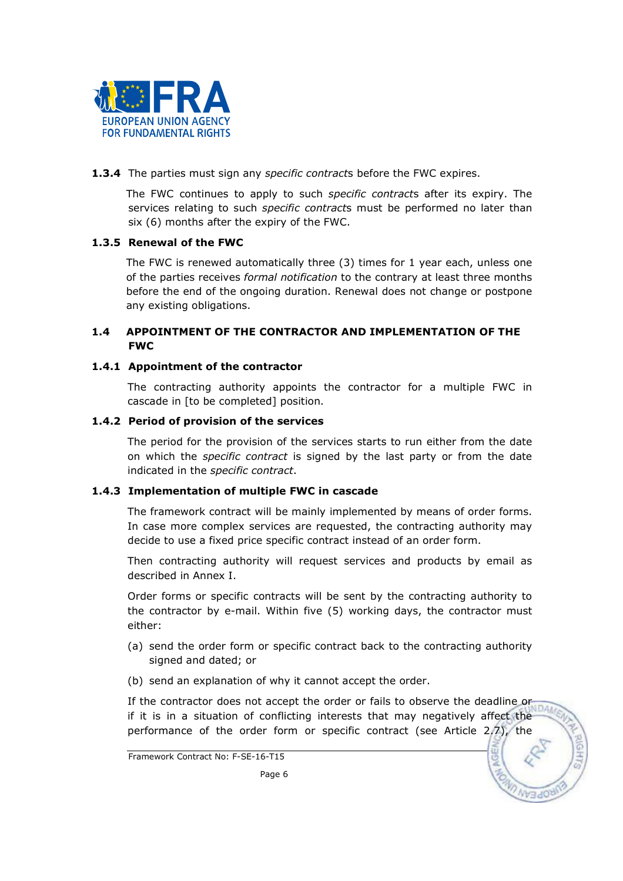

1.3.4 The parties must sign any specific contracts before the FWC expires.

The FWC continues to apply to such *specific contracts* after its expiry. The services relating to such *specific contracts* must be performed no later than six (6) months after the expiry of the FWC.

## 1.3.5 Renewal of the FWC

The FWC is renewed automatically three (3) times for 1 year each, unless one of the parties receives formal notification to the contrary at least three months before the end of the ongoing duration. Renewal does not change or postpone any existing obligations.

#### 1.4 APPOINTMENT OF THE CONTRACTOR AND IMPLEMENTATION OF THE FWC

#### 1.4.1 Appointment of the contractor

The contracting authority appoints the contractor for a multiple FWC in cascade in [to be completed] position.

#### 1.4.2 Period of provision of the services

The period for the provision of the services starts to run either from the date on which the *specific contract* is signed by the last party or from the date indicated in the specific contract.

## 1.4.3 Implementation of multiple FWC in cascade

The framework contract will be mainly implemented by means of order forms. In case more complex services are requested, the contracting authority may decide to use a fixed price specific contract instead of an order form.

Then contracting authority will request services and products by email as described in Annex I.

Order forms or specific contracts will be sent by the contracting authority to the contractor by e-mail. Within five (5) working days, the contractor must either:

- (a) send the order form or specific contract back to the contracting authority signed and dated; or
- (b) send an explanation of why it cannot accept the order.

If the contractor does not accept the order or fails to observe the deadline or if it is in a situation of conflicting interests that may negatively affect the performance of the order form or specific contract (see Article 2.7), the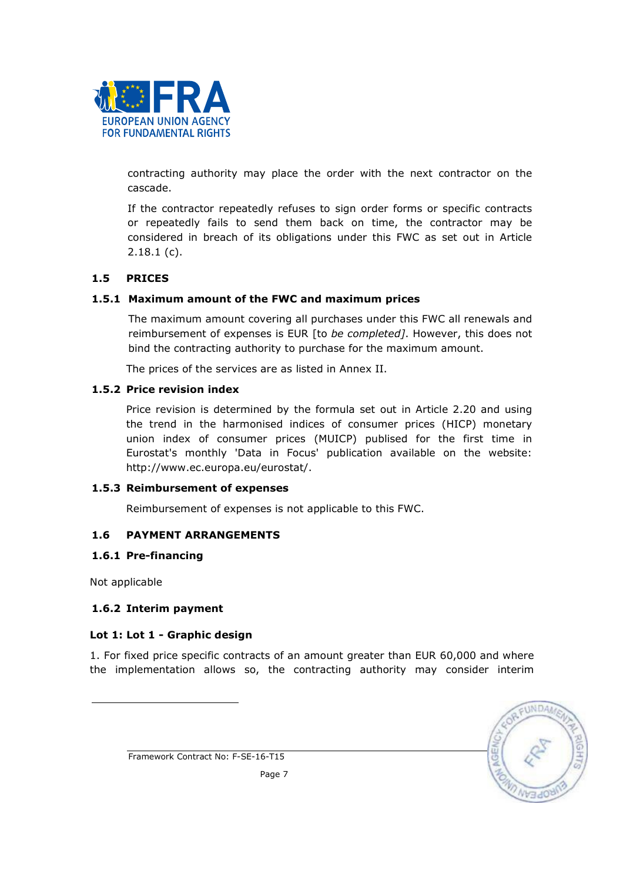

contracting authority may place the order with the next contractor on the cascade.

If the contractor repeatedly refuses to sign order forms or specific contracts or repeatedly fails to send them back on time, the contractor may be considered in breach of its obligations under this FWC as set out in Article 2.18.1 (c).

## 1.5 PRICES

#### 1.5.1 Maximum amount of the FWC and maximum prices

The maximum amount covering all purchases under this FWC all renewals and reimbursement of expenses is EUR [to be completed]. However, this does not bind the contracting authority to purchase for the maximum amount.

The prices of the services are as listed in Annex II.

#### 1.5.2 Price revision index

Price revision is determined by the formula set out in Article 2.20 and using the trend in the harmonised indices of consumer prices (HICP) monetary union index of consumer prices (MUICP) publised for the first time in Eurostat's monthly 'Data in Focus' publication available on the website: http://www.ec.europa.eu/eurostat/.

#### 1.5.3 Reimbursement of expenses

Reimbursement of expenses is not applicable to this FWC.

#### 1.6 PAYMENT ARRANGEMENTS

#### 1.6.1 Pre-financing

Not applicable

l

#### 1.6.2 Interim payment

#### Lot 1: Lot 1 - Graphic design

1. For fixed price specific contracts of an amount greater than EUR 60,000 and where the implementation allows so, the contracting authority may consider interim

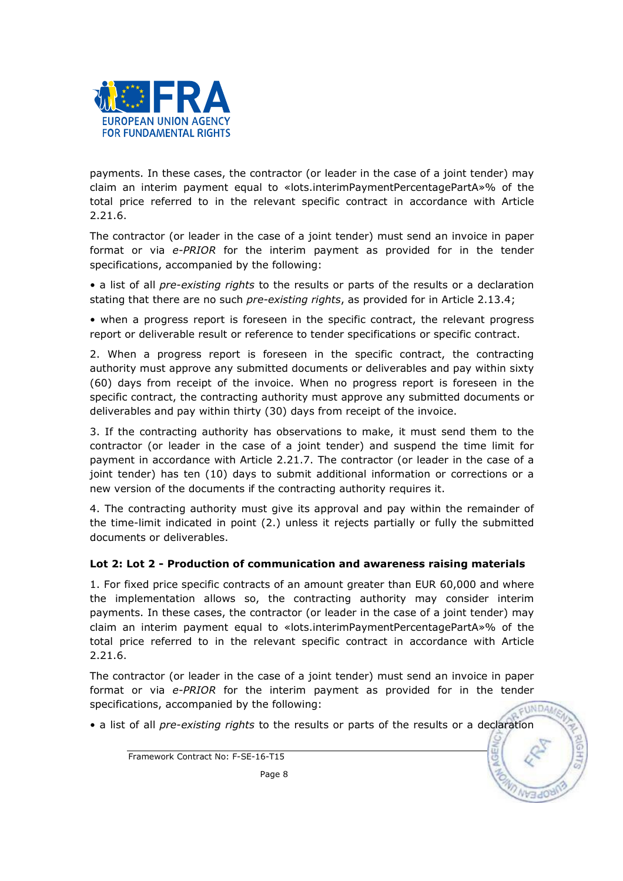

payments. In these cases, the contractor (or leader in the case of a joint tender) may claim an interim payment equal to «lots.interimPaymentPercentagePartA»% of the total price referred to in the relevant specific contract in accordance with Article 2.21.6.

The contractor (or leader in the case of a joint tender) must send an invoice in paper format or via e-PRIOR for the interim payment as provided for in the tender specifications, accompanied by the following:

• a list of all *pre-existing rights* to the results or parts of the results or a declaration stating that there are no such *pre-existing rights*, as provided for in Article 2.13.4;

• when a progress report is foreseen in the specific contract, the relevant progress report or deliverable result or reference to tender specifications or specific contract.

2. When a progress report is foreseen in the specific contract, the contracting authority must approve any submitted documents or deliverables and pay within sixty (60) days from receipt of the invoice. When no progress report is foreseen in the specific contract, the contracting authority must approve any submitted documents or deliverables and pay within thirty (30) days from receipt of the invoice.

3. If the contracting authority has observations to make, it must send them to the contractor (or leader in the case of a joint tender) and suspend the time limit for payment in accordance with Article 2.21.7. The contractor (or leader in the case of a joint tender) has ten (10) days to submit additional information or corrections or a new version of the documents if the contracting authority requires it.

4. The contracting authority must give its approval and pay within the remainder of the time-limit indicated in point (2.) unless it rejects partially or fully the submitted documents or deliverables.

## Lot 2: Lot 2 - Production of communication and awareness raising materials

1. For fixed price specific contracts of an amount greater than EUR 60,000 and where the implementation allows so, the contracting authority may consider interim payments. In these cases, the contractor (or leader in the case of a joint tender) may claim an interim payment equal to «lots.interimPaymentPercentagePartA»% of the total price referred to in the relevant specific contract in accordance with Article 2.21.6.

The contractor (or leader in the case of a joint tender) must send an invoice in paper format or via e-PRIOR for the interim payment as provided for in the tender specifications, accompanied by the following: EUNDA

• a list of all pre-existing rights to the results or parts of the results or a declaration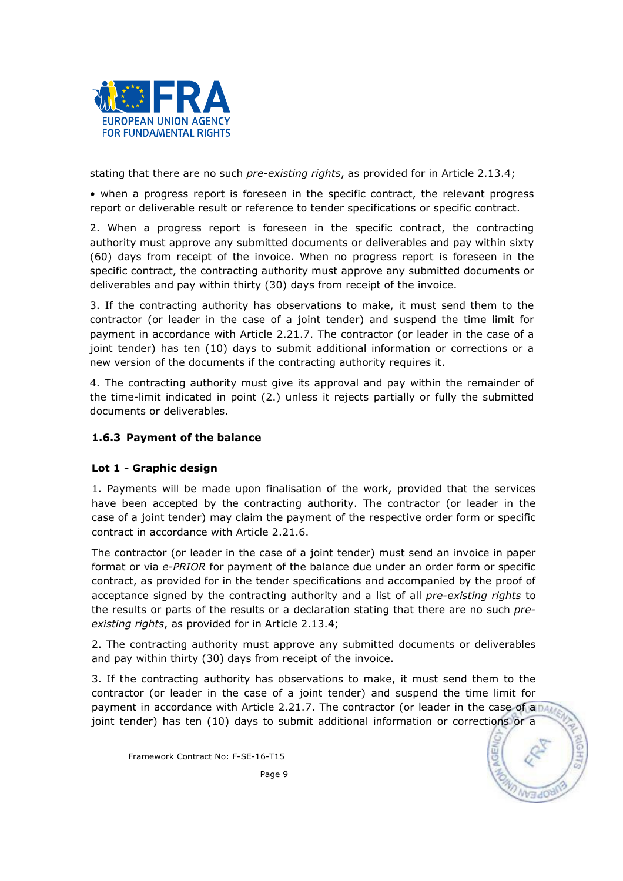

stating that there are no such pre-existing rights, as provided for in Article 2.13.4;

• when a progress report is foreseen in the specific contract, the relevant progress report or deliverable result or reference to tender specifications or specific contract.

2. When a progress report is foreseen in the specific contract, the contracting authority must approve any submitted documents or deliverables and pay within sixty (60) days from receipt of the invoice. When no progress report is foreseen in the specific contract, the contracting authority must approve any submitted documents or deliverables and pay within thirty (30) days from receipt of the invoice.

3. If the contracting authority has observations to make, it must send them to the contractor (or leader in the case of a joint tender) and suspend the time limit for payment in accordance with Article 2.21.7. The contractor (or leader in the case of a joint tender) has ten (10) days to submit additional information or corrections or a new version of the documents if the contracting authority requires it.

4. The contracting authority must give its approval and pay within the remainder of the time-limit indicated in point (2.) unless it rejects partially or fully the submitted documents or deliverables.

## 1.6.3 Payment of the balance

## Lot 1 - Graphic design

1. Payments will be made upon finalisation of the work, provided that the services have been accepted by the contracting authority. The contractor (or leader in the case of a joint tender) may claim the payment of the respective order form or specific contract in accordance with Article 2.21.6.

The contractor (or leader in the case of a joint tender) must send an invoice in paper format or via e-PRIOR for payment of the balance due under an order form or specific contract, as provided for in the tender specifications and accompanied by the proof of acceptance signed by the contracting authority and a list of all *pre-existing rights* to the results or parts of the results or a declaration stating that there are no such preexisting rights, as provided for in Article 2.13.4;

2. The contracting authority must approve any submitted documents or deliverables and pay within thirty (30) days from receipt of the invoice.

3. If the contracting authority has observations to make, it must send them to the contractor (or leader in the case of a joint tender) and suspend the time limit for payment in accordance with Article 2.21.7. The contractor (or leader in the case of a  $DA$ joint tender) has ten (10) days to submit additional information or corrections or a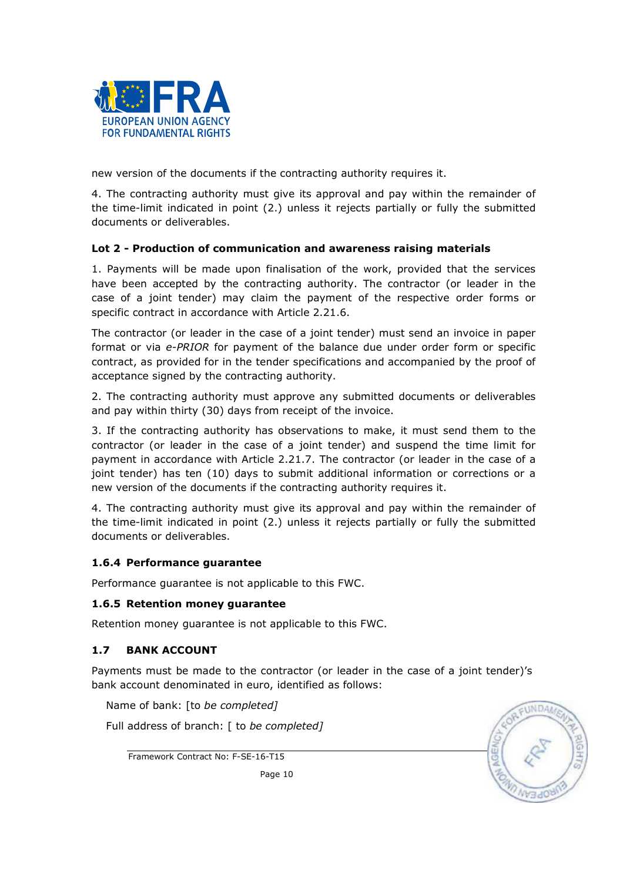

new version of the documents if the contracting authority requires it.

4. The contracting authority must give its approval and pay within the remainder of the time-limit indicated in point (2.) unless it rejects partially or fully the submitted documents or deliverables.

## Lot 2 - Production of communication and awareness raising materials

1. Payments will be made upon finalisation of the work, provided that the services have been accepted by the contracting authority. The contractor (or leader in the case of a joint tender) may claim the payment of the respective order forms or specific contract in accordance with Article 2.21.6.

The contractor (or leader in the case of a joint tender) must send an invoice in paper format or via e-PRIOR for payment of the balance due under order form or specific contract, as provided for in the tender specifications and accompanied by the proof of acceptance signed by the contracting authority.

2. The contracting authority must approve any submitted documents or deliverables and pay within thirty (30) days from receipt of the invoice.

3. If the contracting authority has observations to make, it must send them to the contractor (or leader in the case of a joint tender) and suspend the time limit for payment in accordance with Article 2.21.7. The contractor (or leader in the case of a joint tender) has ten (10) days to submit additional information or corrections or a new version of the documents if the contracting authority requires it.

4. The contracting authority must give its approval and pay within the remainder of the time-limit indicated in point (2.) unless it rejects partially or fully the submitted documents or deliverables.

## 1.6.4 Performance guarantee

Performance guarantee is not applicable to this FWC.

## 1.6.5 Retention money guarantee

Retention money guarantee is not applicable to this FWC.

## 1.7 BANK ACCOUNT

Payments must be made to the contractor (or leader in the case of a joint tender)'s bank account denominated in euro, identified as follows:

**UNDA** 

Name of bank: [to be completed]

Full address of branch: [ to be completed]

Framework Contract No: F-SE-16-T15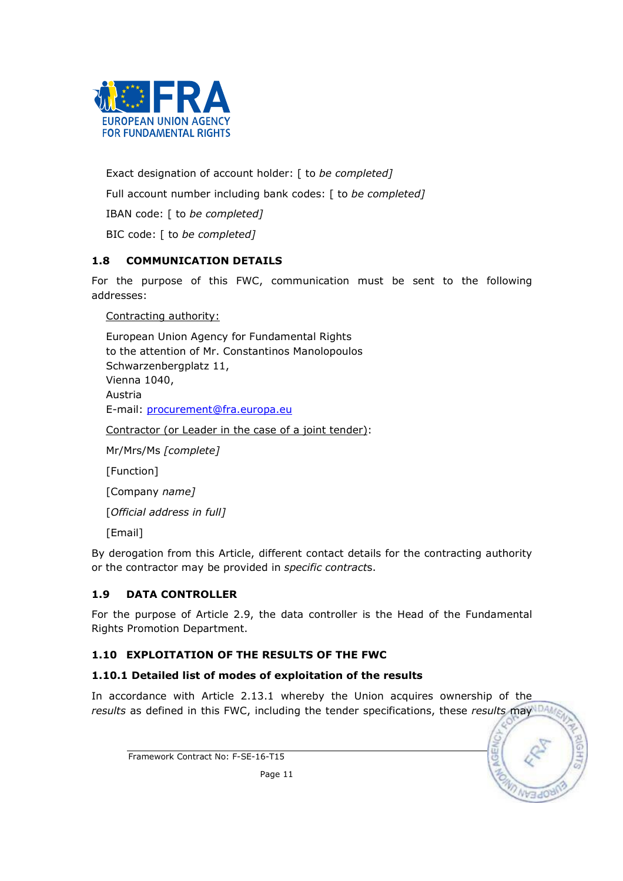

Exact designation of account holder: [ to be completed] Full account number including bank codes: [ to be completed] IBAN code: [ to be completed] BIC code: [ to be completed]

## 1.8 COMMUNICATION DETAILS

For the purpose of this FWC, communication must be sent to the following addresses:

Contracting authority:

European Union Agency for Fundamental Rights to the attention of Mr. Constantinos Manolopoulos Schwarzenbergplatz 11, Vienna 1040, Austria E-mail: procurement@fra.europa.eu

Contractor (or Leader in the case of a joint tender):

Mr/Mrs/Ms [complete]

[Function]

[Company name]

[Official address in full]

[Email]

By derogation from this Article, different contact details for the contracting authority or the contractor may be provided in specific contracts.

## 1.9 DATA CONTROLLER

For the purpose of Article 2.9, the data controller is the Head of the Fundamental Rights Promotion Department.

## 1.10 EXPLOITATION OF THE RESULTS OF THE FWC

## 1.10.1 Detailed list of modes of exploitation of the results

In accordance with Article 2.13.1 whereby the Union acquires ownership of the results as defined in this FWC, including the tender specifications, these results may  $DAB$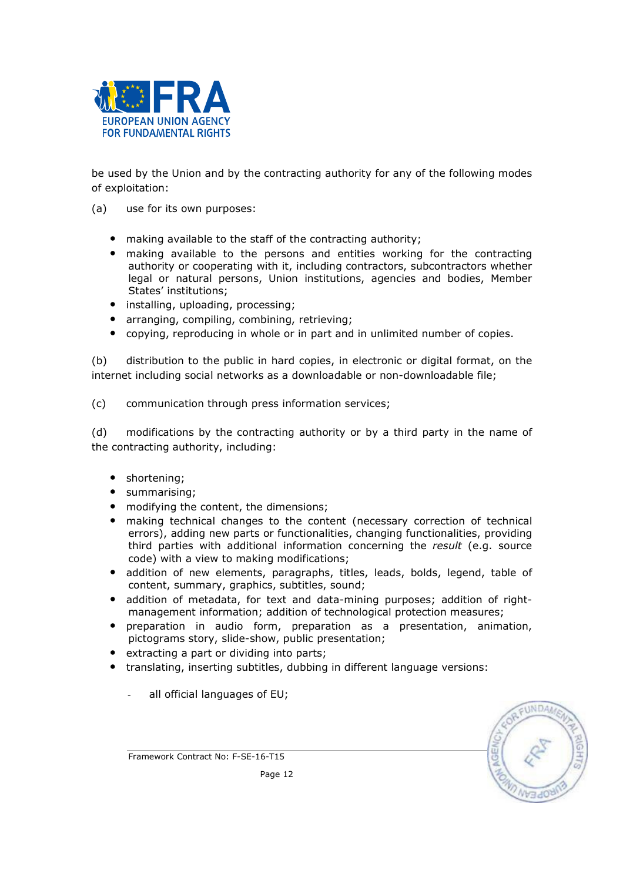

be used by the Union and by the contracting authority for any of the following modes of exploitation:

- (a) use for its own purposes:
	- making available to the staff of the contracting authority;
	- making available to the persons and entities working for the contracting authority or cooperating with it, including contractors, subcontractors whether legal or natural persons, Union institutions, agencies and bodies, Member States' institutions;
	- installing, uploading, processing;
	- arranging, compiling, combining, retrieving;
	- copying, reproducing in whole or in part and in unlimited number of copies.

(b) distribution to the public in hard copies, in electronic or digital format, on the internet including social networks as a downloadable or non-downloadable file;

(c) communication through press information services;

(d) modifications by the contracting authority or by a third party in the name of the contracting authority, including:

- shortening;
- summarising;
- modifying the content, the dimensions;
- making technical changes to the content (necessary correction of technical errors), adding new parts or functionalities, changing functionalities, providing third parties with additional information concerning the result (e.g. source code) with a view to making modifications;
- addition of new elements, paragraphs, titles, leads, bolds, legend, table of content, summary, graphics, subtitles, sound;
- addition of metadata, for text and data-mining purposes; addition of rightmanagement information; addition of technological protection measures;
- preparation in audio form, preparation as a presentation, animation, pictograms story, slide-show, public presentation;
- extracting a part or dividing into parts;
- translating, inserting subtitles, dubbing in different language versions:
	- all official languages of EU;

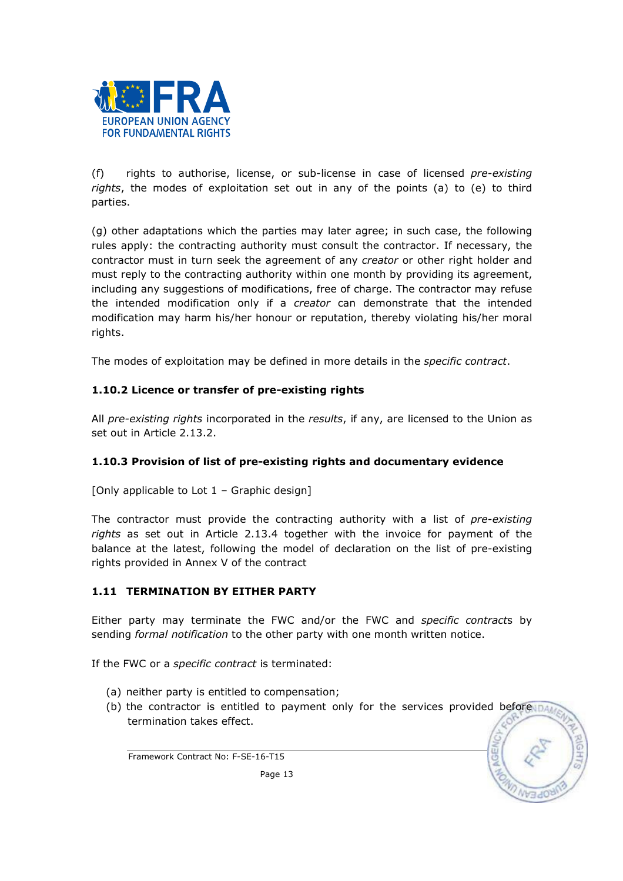

(f) rights to authorise, license, or sub-license in case of licensed  $pre-existing$ rights, the modes of exploitation set out in any of the points (a) to (e) to third parties.

(g) other adaptations which the parties may later agree; in such case, the following rules apply: the contracting authority must consult the contractor. If necessary, the contractor must in turn seek the agreement of any creator or other right holder and must reply to the contracting authority within one month by providing its agreement, including any suggestions of modifications, free of charge. The contractor may refuse the intended modification only if a *creator* can demonstrate that the intended modification may harm his/her honour or reputation, thereby violating his/her moral rights.

The modes of exploitation may be defined in more details in the *specific contract*.

## 1.10.2 Licence or transfer of pre-existing rights

All pre-existing rights incorporated in the results, if any, are licensed to the Union as set out in Article 2.13.2.

## 1.10.3 Provision of list of pre-existing rights and documentary evidence

[Only applicable to Lot 1 – Graphic design]

The contractor must provide the contracting authority with a list of pre-existing rights as set out in Article 2.13.4 together with the invoice for payment of the balance at the latest, following the model of declaration on the list of pre-existing rights provided in Annex V of the contract

## 1.11 TERMINATION BY EITHER PARTY

Either party may terminate the FWC and/or the FWC and specific contracts by sending formal notification to the other party with one month written notice.

If the FWC or a *specific contract* is terminated:

- (a) neither party is entitled to compensation;
- (b) the contractor is entitled to payment only for the services provided before that termination takes effect.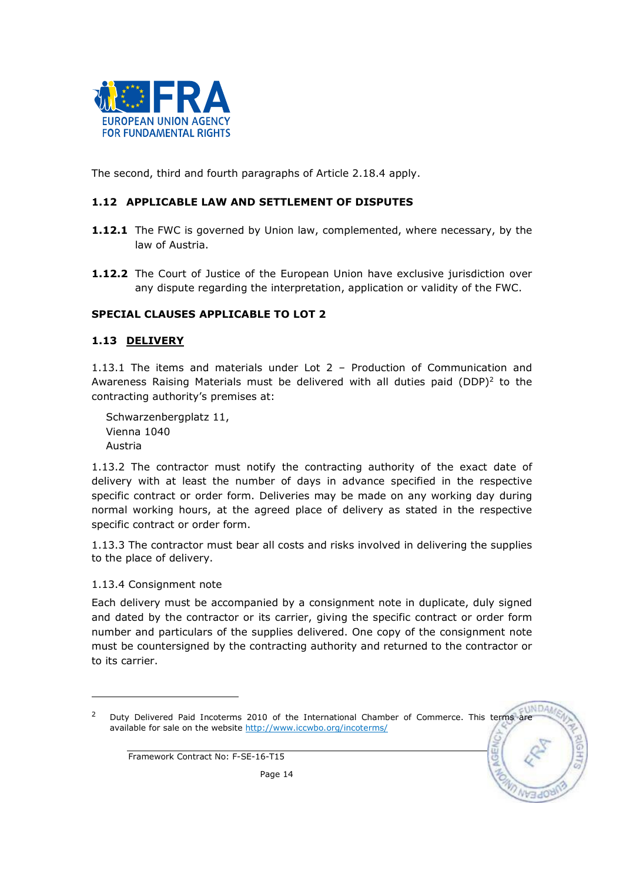

The second, third and fourth paragraphs of Article 2.18.4 apply.

## 1.12 APPLICABLE LAW AND SETTLEMENT OF DISPUTES

- **1.12.1** The FWC is governed by Union law, complemented, where necessary, by the law of Austria.
- **1.12.2** The Court of Justice of the European Union have exclusive jurisdiction over any dispute regarding the interpretation, application or validity of the FWC.

## SPECIAL CLAUSES APPLICABLE TO LOT 2

#### 1.13 DELIVERY

1.13.1 The items and materials under Lot 2 – Production of Communication and Awareness Raising Materials must be delivered with all duties paid (DDP)<sup>2</sup> to the contracting authority's premises at:

Schwarzenbergplatz 11, Vienna 1040 Austria

1.13.2 The contractor must notify the contracting authority of the exact date of delivery with at least the number of days in advance specified in the respective specific contract or order form. Deliveries may be made on any working day during normal working hours, at the agreed place of delivery as stated in the respective specific contract or order form.

1.13.3 The contractor must bear all costs and risks involved in delivering the supplies to the place of delivery.

1.13.4 Consignment note

l

Each delivery must be accompanied by a consignment note in duplicate, duly signed and dated by the contractor or its carrier, giving the specific contract or order form number and particulars of the supplies delivered. One copy of the consignment note must be countersigned by the contracting authority and returned to the contractor or to its carrier.

**UNDAA** 

<sup>&</sup>lt;sup>2</sup> Duty Delivered Paid Incoterms 2010 of the International Chamber of Commerce. This terms are available for sale on the website http://www.iccwbo.org/incoterms/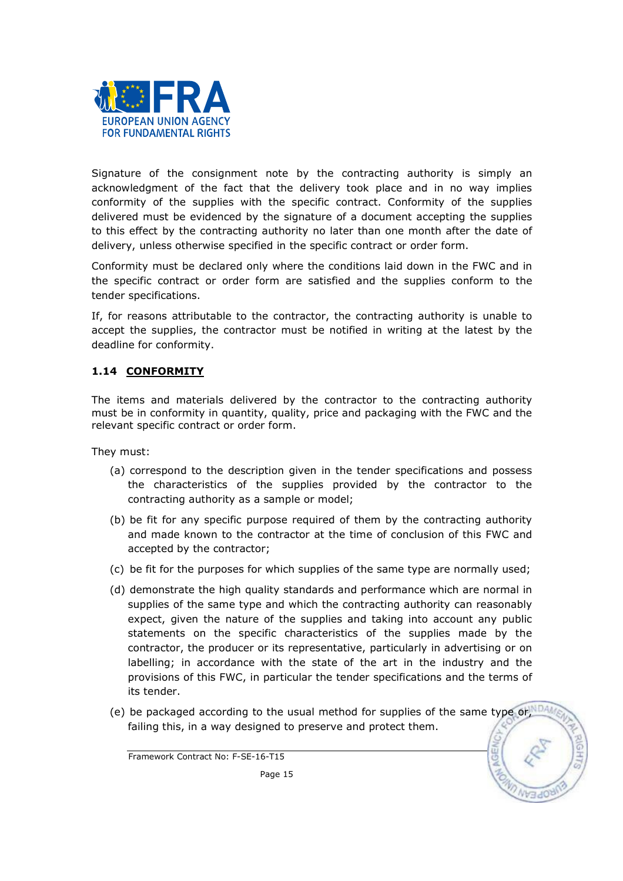

Signature of the consignment note by the contracting authority is simply an acknowledgment of the fact that the delivery took place and in no way implies conformity of the supplies with the specific contract. Conformity of the supplies delivered must be evidenced by the signature of a document accepting the supplies to this effect by the contracting authority no later than one month after the date of delivery, unless otherwise specified in the specific contract or order form.

Conformity must be declared only where the conditions laid down in the FWC and in the specific contract or order form are satisfied and the supplies conform to the tender specifications.

If, for reasons attributable to the contractor, the contracting authority is unable to accept the supplies, the contractor must be notified in writing at the latest by the deadline for conformity.

## 1.14 CONFORMITY

The items and materials delivered by the contractor to the contracting authority must be in conformity in quantity, quality, price and packaging with the FWC and the relevant specific contract or order form.

They must:

- (a) correspond to the description given in the tender specifications and possess the characteristics of the supplies provided by the contractor to the contracting authority as a sample or model;
- (b) be fit for any specific purpose required of them by the contracting authority and made known to the contractor at the time of conclusion of this FWC and accepted by the contractor;
- (c) be fit for the purposes for which supplies of the same type are normally used;
- (d) demonstrate the high quality standards and performance which are normal in supplies of the same type and which the contracting authority can reasonably expect, given the nature of the supplies and taking into account any public statements on the specific characteristics of the supplies made by the contractor, the producer or its representative, particularly in advertising or on labelling; in accordance with the state of the art in the industry and the provisions of this FWC, in particular the tender specifications and the terms of its tender.
- (e) be packaged according to the usual method for supplies of the same type or, DA failing this, in a way designed to preserve and protect them.

Framework Contract No: F-SE-16-T15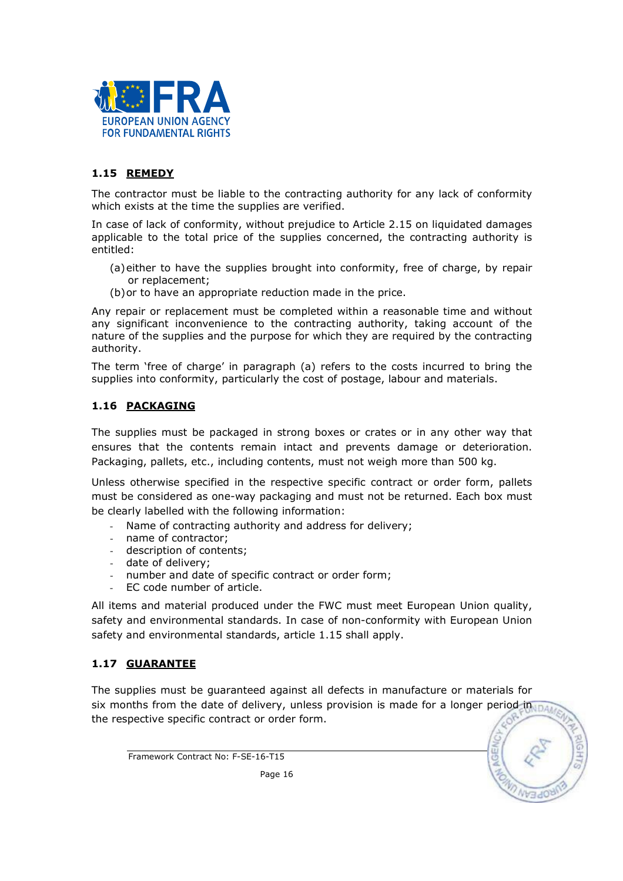

## 1.15 REMEDY

The contractor must be liable to the contracting authority for any lack of conformity which exists at the time the supplies are verified.

In case of lack of conformity, without prejudice to Article 2.15 on liquidated damages applicable to the total price of the supplies concerned, the contracting authority is entitled:

- (a)either to have the supplies brought into conformity, free of charge, by repair or replacement;
- (b)or to have an appropriate reduction made in the price.

Any repair or replacement must be completed within a reasonable time and without any significant inconvenience to the contracting authority, taking account of the nature of the supplies and the purpose for which they are required by the contracting authority.

The term 'free of charge' in paragraph (a) refers to the costs incurred to bring the supplies into conformity, particularly the cost of postage, labour and materials.

#### 1.16 PACKAGING

The supplies must be packaged in strong boxes or crates or in any other way that ensures that the contents remain intact and prevents damage or deterioration. Packaging, pallets, etc., including contents, must not weigh more than 500 kg.

Unless otherwise specified in the respective specific contract or order form, pallets must be considered as one-way packaging and must not be returned. Each box must be clearly labelled with the following information:

- Name of contracting authority and address for delivery;
- name of contractor;
- description of contents;
- date of delivery;
- number and date of specific contract or order form;
- EC code number of article.

All items and material produced under the FWC must meet European Union quality, safety and environmental standards. In case of non-conformity with European Union safety and environmental standards, article 1.15 shall apply.

## 1.17 GUARANTEE

The supplies must be guaranteed against all defects in manufacture or materials for six months from the date of delivery, unless provision is made for a longer period in  $\overline{\text{max}}$ the respective specific contract or order form.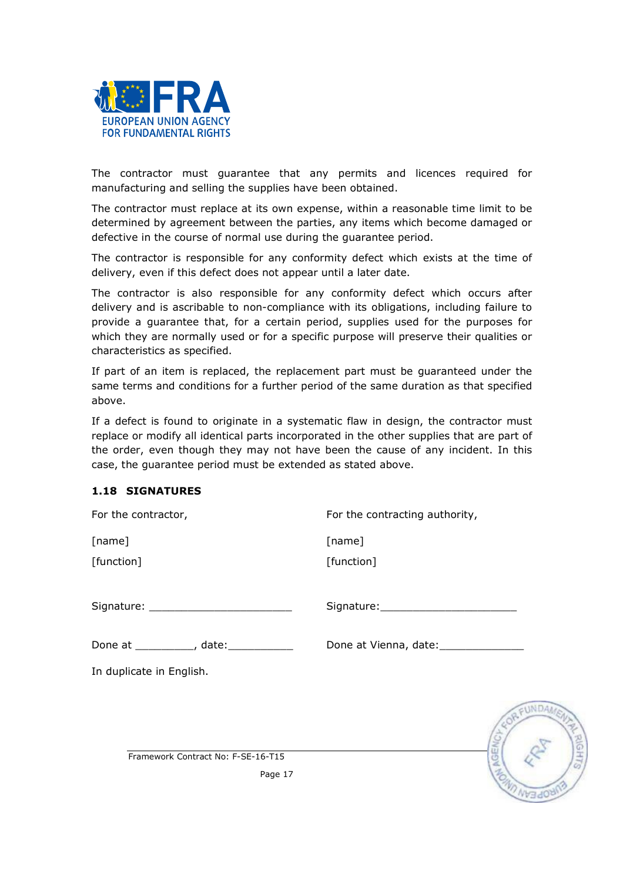

The contractor must guarantee that any permits and licences required for manufacturing and selling the supplies have been obtained.

The contractor must replace at its own expense, within a reasonable time limit to be determined by agreement between the parties, any items which become damaged or defective in the course of normal use during the guarantee period.

The contractor is responsible for any conformity defect which exists at the time of delivery, even if this defect does not appear until a later date.

The contractor is also responsible for any conformity defect which occurs after delivery and is ascribable to non-compliance with its obligations, including failure to provide a guarantee that, for a certain period, supplies used for the purposes for which they are normally used or for a specific purpose will preserve their qualities or characteristics as specified.

If part of an item is replaced, the replacement part must be guaranteed under the same terms and conditions for a further period of the same duration as that specified above.

If a defect is found to originate in a systematic flaw in design, the contractor must replace or modify all identical parts incorporated in the other supplies that are part of the order, even though they may not have been the cause of any incident. In this case, the guarantee period must be extended as stated above.

## 1.18 SIGNATURES

| For the contractor,                  | For the contracting authority,    |
|--------------------------------------|-----------------------------------|
| [name]                               | [name]                            |
| [function]                           | [function]                        |
|                                      |                                   |
| Done at __________, date:___________ | Done at Vienna, date: ___________ |
| In duplicate in English.             |                                   |
|                                      |                                   |
| Framework Contract No: F-SE-16-T15   |                                   |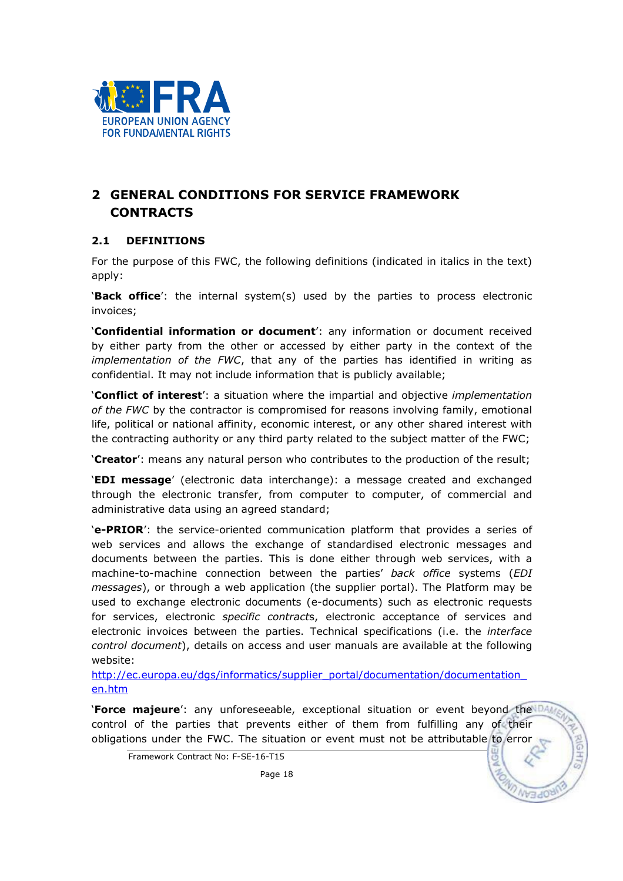

# 2 GENERAL CONDITIONS FOR SERVICE FRAMEWORK **CONTRACTS**

## 2.1 DEFINITIONS

For the purpose of this FWC, the following definitions (indicated in italics in the text) apply:

'Back office': the internal system(s) used by the parties to process electronic invoices;

'Confidential information or document': any information or document received by either party from the other or accessed by either party in the context of the implementation of the FWC, that any of the parties has identified in writing as confidential. It may not include information that is publicly available;

'Conflict of interest': a situation where the impartial and objective *implementation* of the FWC by the contractor is compromised for reasons involving family, emotional life, political or national affinity, economic interest, or any other shared interest with the contracting authority or any third party related to the subject matter of the FWC;

'Creator': means any natural person who contributes to the production of the result;

'EDI message' (electronic data interchange): a message created and exchanged through the electronic transfer, from computer to computer, of commercial and administrative data using an agreed standard;

'e-PRIOR': the service-oriented communication platform that provides a series of web services and allows the exchange of standardised electronic messages and documents between the parties. This is done either through web services, with a machine-to-machine connection between the parties' back office systems (EDI messages), or through a web application (the supplier portal). The Platform may be used to exchange electronic documents (e-documents) such as electronic requests for services, electronic specific contracts, electronic acceptance of services and electronic invoices between the parties. Technical specifications (i.e. the interface control document), details on access and user manuals are available at the following website:

http://ec.europa.eu/dgs/informatics/supplier\_portal/documentation/documentation\_ en.htm

**'Force majeure'**: any unforeseeable, exceptional situation or event beyond the DAM control of the parties that prevents either of them from fulfilling any of their obligations under the FWC. The situation or event must not be attributable to error

Framework Contract No: F-SE-16-T15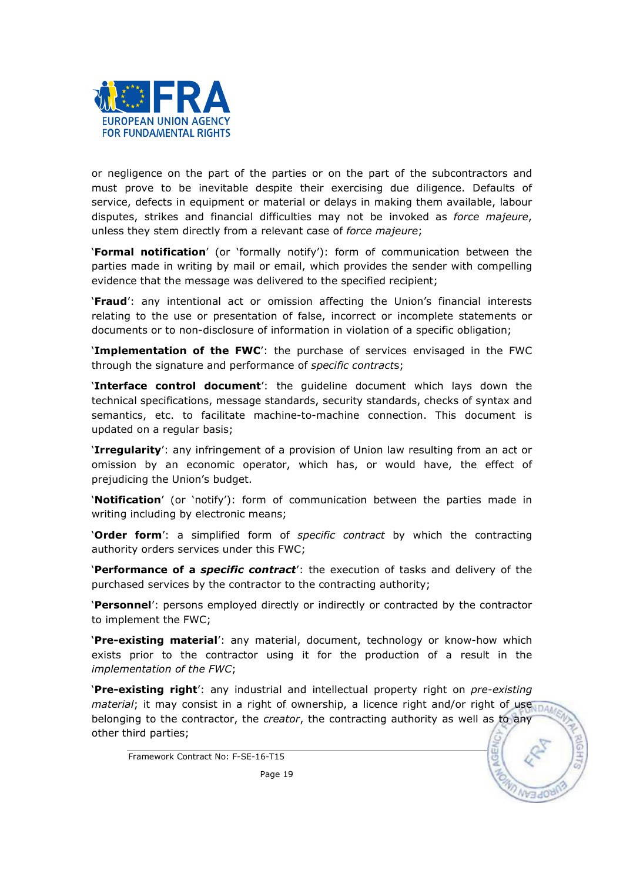

or negligence on the part of the parties or on the part of the subcontractors and must prove to be inevitable despite their exercising due diligence. Defaults of service, defects in equipment or material or delays in making them available, labour disputes, strikes and financial difficulties may not be invoked as *force majeure*, unless they stem directly from a relevant case of force majeure;

'Formal notification' (or 'formally notify'): form of communication between the parties made in writing by mail or email, which provides the sender with compelling evidence that the message was delivered to the specified recipient;

'Fraud': any intentional act or omission affecting the Union's financial interests relating to the use or presentation of false, incorrect or incomplete statements or documents or to non-disclosure of information in violation of a specific obligation;

**Implementation of the FWC':** the purchase of services envisaged in the FWC through the signature and performance of specific contracts;

**Interface control document**': the quideline document which lays down the technical specifications, message standards, security standards, checks of syntax and semantics, etc. to facilitate machine-to-machine connection. This document is updated on a regular basis;

**Irregularity**': any infringement of a provision of Union law resulting from an act or omission by an economic operator, which has, or would have, the effect of prejudicing the Union's budget.

'Notification' (or 'notify'): form of communication between the parties made in writing including by electronic means;

**'Order form'**: a simplified form of specific contract by which the contracting authority orders services under this FWC;

'Performance of a *specific contract'*: the execution of tasks and delivery of the purchased services by the contractor to the contracting authority;

'Personnel': persons employed directly or indirectly or contracted by the contractor to implement the FWC;

'Pre-existing material': any material, document, technology or know-how which exists prior to the contractor using it for the production of a result in the implementation of the FWC;

'Pre-existing right': any industrial and intellectual property right on *pre-existing* material; it may consist in a right of ownership, a licence right and/or right of usesnate belonging to the contractor, the creator, the contracting authority as well as to any other third parties;

Framework Contract No: F-SE-16-T15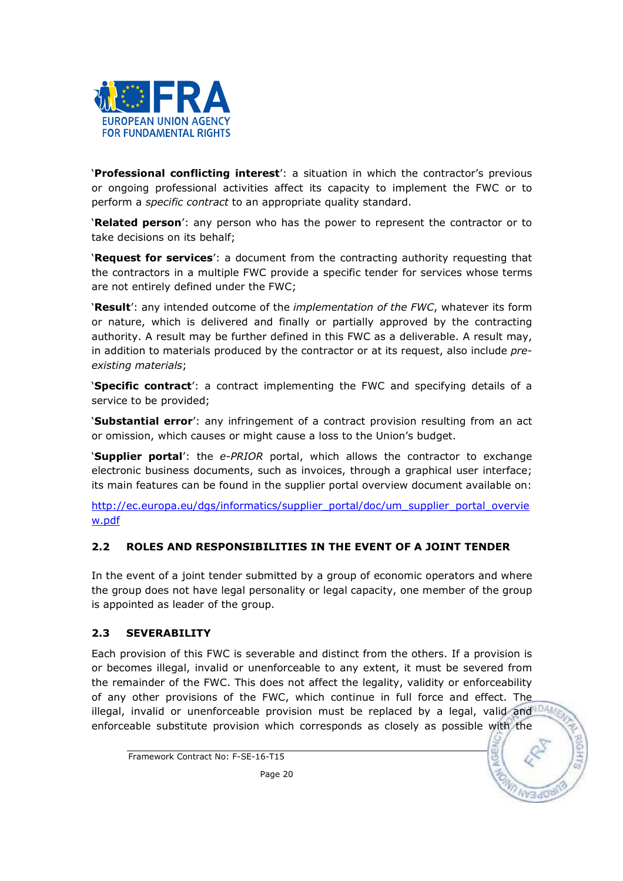

'Professional conflicting interest': a situation in which the contractor's previous or ongoing professional activities affect its capacity to implement the FWC or to perform a specific contract to an appropriate quality standard.

'Related person': any person who has the power to represent the contractor or to take decisions on its behalf;

'Request for services': a document from the contracting authority requesting that the contractors in a multiple FWC provide a specific tender for services whose terms are not entirely defined under the FWC;

'Result': any intended outcome of the *implementation of the FWC*, whatever its form or nature, which is delivered and finally or partially approved by the contracting authority. A result may be further defined in this FWC as a deliverable. A result may, in addition to materials produced by the contractor or at its request, also include preexisting materials;

'Specific contract': a contract implementing the FWC and specifying details of a service to be provided;

**Substantial error**': any infringement of a contract provision resulting from an act or omission, which causes or might cause a loss to the Union's budget.

**'Supplier portal'**: the e-PRIOR portal, which allows the contractor to exchange electronic business documents, such as invoices, through a graphical user interface; its main features can be found in the supplier portal overview document available on:

http://ec.europa.eu/dgs/informatics/supplier\_portal/doc/um\_supplier\_portal\_overvie w.pdf

## 2.2 ROLES AND RESPONSIBILITIES IN THE EVENT OF A JOINT TENDER

In the event of a joint tender submitted by a group of economic operators and where the group does not have legal personality or legal capacity, one member of the group is appointed as leader of the group.

## 2.3 SEVERABILITY

Each provision of this FWC is severable and distinct from the others. If a provision is or becomes illegal, invalid or unenforceable to any extent, it must be severed from the remainder of the FWC. This does not affect the legality, validity or enforceability of any other provisions of the FWC, which continue in full force and effect. The illegal, invalid or unenforceable provision must be replaced by a legal, valid and  $\mathbb{R}^n$ enforceable substitute provision which corresponds as closely as possible with the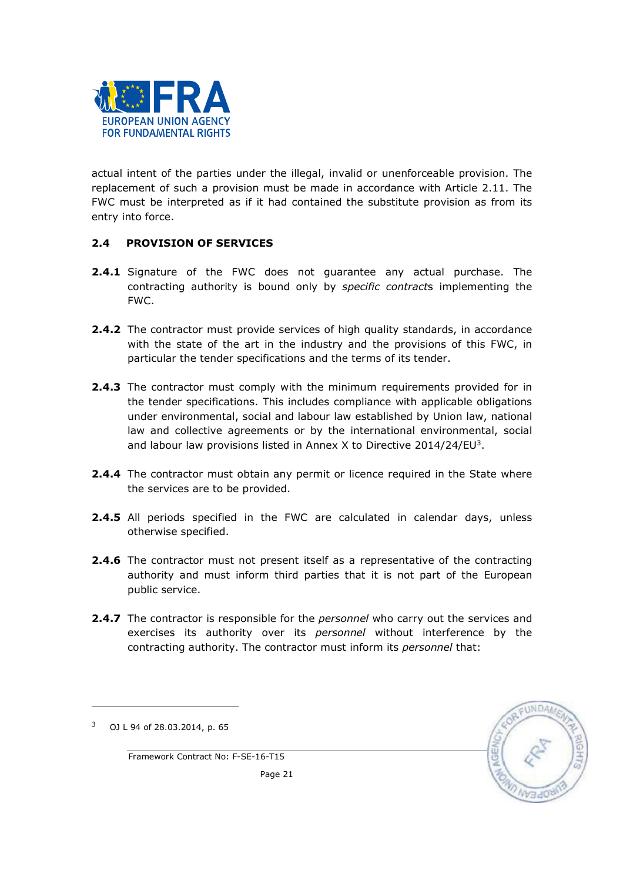

actual intent of the parties under the illegal, invalid or unenforceable provision. The replacement of such a provision must be made in accordance with Article 2.11. The FWC must be interpreted as if it had contained the substitute provision as from its entry into force.

## 2.4 PROVISION OF SERVICES

- 2.4.1 Signature of the FWC does not guarantee any actual purchase. The contracting authority is bound only by specific contracts implementing the FWC.
- **2.4.2** The contractor must provide services of high quality standards, in accordance with the state of the art in the industry and the provisions of this FWC, in particular the tender specifications and the terms of its tender.
- **2.4.3** The contractor must comply with the minimum requirements provided for in the tender specifications. This includes compliance with applicable obligations under environmental, social and labour law established by Union law, national law and collective agreements or by the international environmental, social and labour law provisions listed in Annex X to Directive 2014/24/EU<sup>3</sup>.
- 2.4.4 The contractor must obtain any permit or licence required in the State where the services are to be provided.
- 2.4.5 All periods specified in the FWC are calculated in calendar days, unless otherwise specified.
- **2.4.6** The contractor must not present itself as a representative of the contracting authority and must inform third parties that it is not part of the European public service.
- **2.4.7** The contractor is responsible for the *personnel* who carry out the services and exercises its authority over its personnel without interference by the contracting authority. The contractor must inform its personnel that:



 $\overline{a}$ 



Framework Contract No: F-SE-16-T15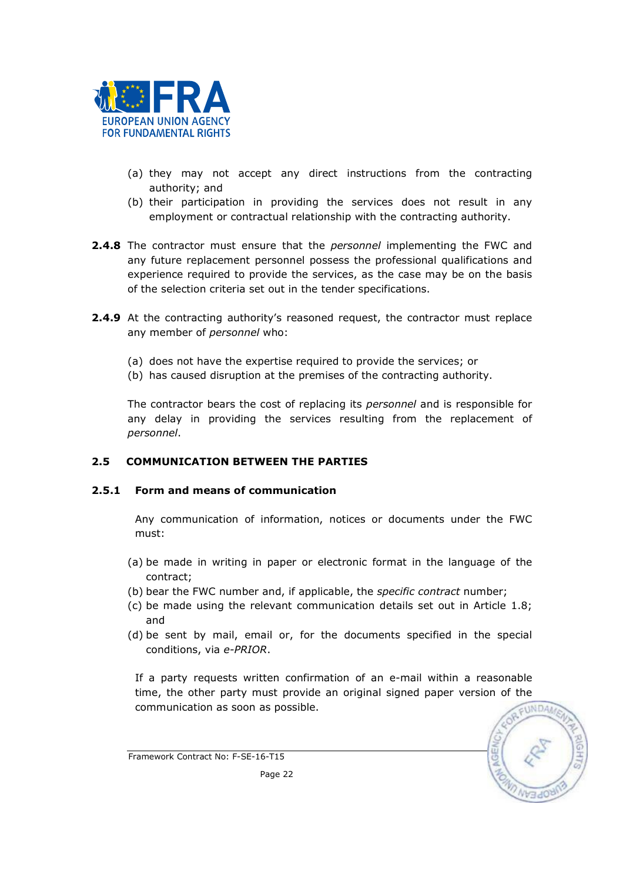

- (a) they may not accept any direct instructions from the contracting authority; and
- (b) their participation in providing the services does not result in any employment or contractual relationship with the contracting authority.
- 2.4.8 The contractor must ensure that the *personnel* implementing the FWC and any future replacement personnel possess the professional qualifications and experience required to provide the services, as the case may be on the basis of the selection criteria set out in the tender specifications.
- **2.4.9** At the contracting authority's reasoned request, the contractor must replace any member of personnel who:
	- (a) does not have the expertise required to provide the services; or
	- (b) has caused disruption at the premises of the contracting authority.

The contractor bears the cost of replacing its personnel and is responsible for any delay in providing the services resulting from the replacement of personnel.

#### 2.5 COMMUNICATION BETWEEN THE PARTIES

#### 2.5.1 Form and means of communication

Any communication of information, notices or documents under the FWC must:

- (a) be made in writing in paper or electronic format in the language of the contract;
- (b) bear the FWC number and, if applicable, the specific contract number;
- (c) be made using the relevant communication details set out in Article 1.8; and
- (d) be sent by mail, email or, for the documents specified in the special conditions, via e-PRIOR.

If a party requests written confirmation of an e-mail within a reasonable time, the other party must provide an original signed paper version of the communication as soon as possible.

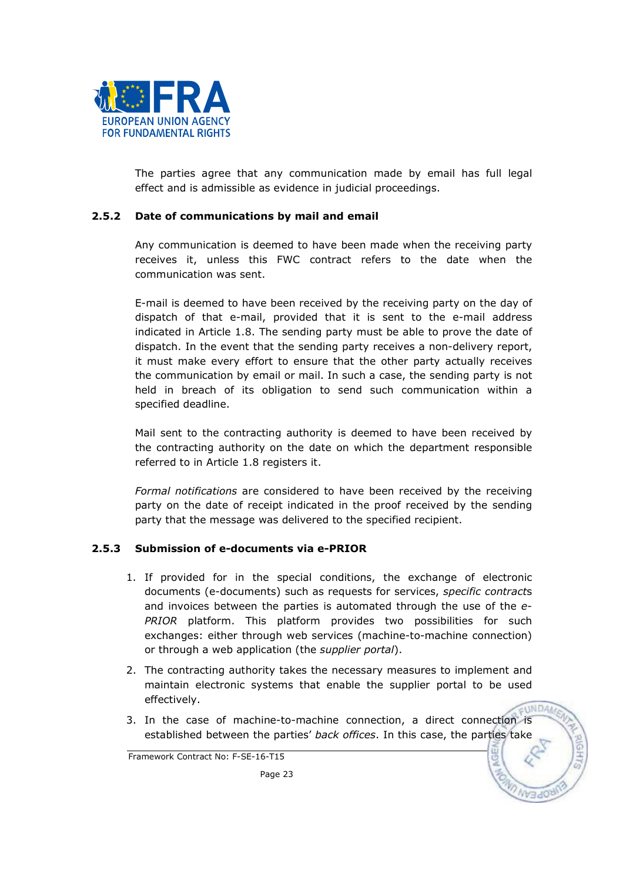

The parties agree that any communication made by email has full legal effect and is admissible as evidence in judicial proceedings.

#### 2.5.2 Date of communications by mail and email

Any communication is deemed to have been made when the receiving party receives it, unless this FWC contract refers to the date when the communication was sent.

E-mail is deemed to have been received by the receiving party on the day of dispatch of that e-mail, provided that it is sent to the e-mail address indicated in Article 1.8. The sending party must be able to prove the date of dispatch. In the event that the sending party receives a non-delivery report, it must make every effort to ensure that the other party actually receives the communication by email or mail. In such a case, the sending party is not held in breach of its obligation to send such communication within a specified deadline.

Mail sent to the contracting authority is deemed to have been received by the contracting authority on the date on which the department responsible referred to in Article 1.8 registers it.

Formal notifications are considered to have been received by the receiving party on the date of receipt indicated in the proof received by the sending party that the message was delivered to the specified recipient.

## 2.5.3 Submission of e-documents via e-PRIOR

- 1. If provided for in the special conditions, the exchange of electronic documents (e-documents) such as requests for services, specific contracts and invoices between the parties is automated through the use of the e-PRIOR platform. This platform provides two possibilities for such exchanges: either through web services (machine-to-machine connection) or through a web application (the *supplier portal*).
- 2. The contracting authority takes the necessary measures to implement and maintain electronic systems that enable the supplier portal to be used effectively. **TINDAA**
- 3. In the case of machine-to-machine connection, a direct connection is established between the parties' back offices. In this case, the parties take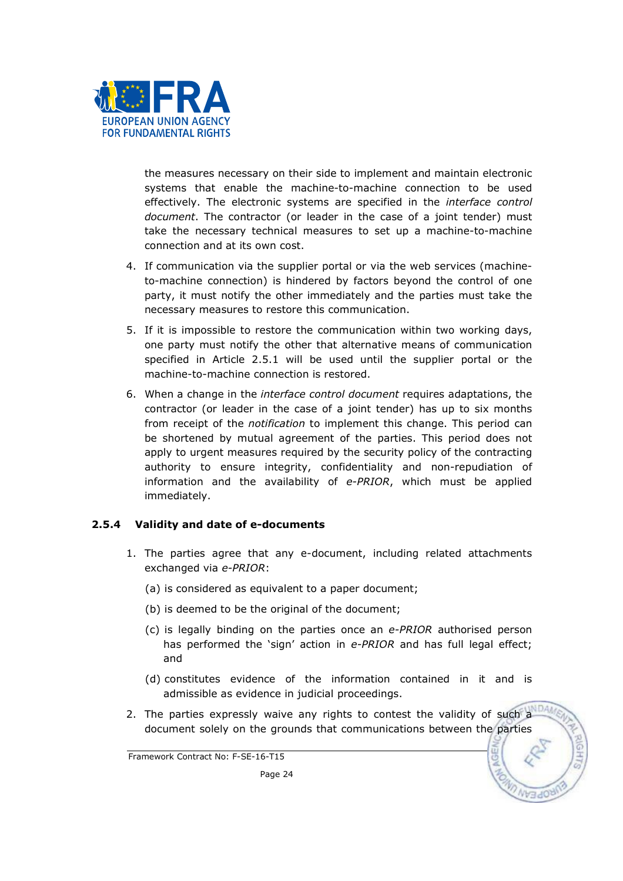

the measures necessary on their side to implement and maintain electronic systems that enable the machine-to-machine connection to be used effectively. The electronic systems are specified in the interface control document. The contractor (or leader in the case of a joint tender) must take the necessary technical measures to set up a machine-to-machine connection and at its own cost.

- 4. If communication via the supplier portal or via the web services (machineto-machine connection) is hindered by factors beyond the control of one party, it must notify the other immediately and the parties must take the necessary measures to restore this communication.
- 5. If it is impossible to restore the communication within two working days, one party must notify the other that alternative means of communication specified in Article 2.5.1 will be used until the supplier portal or the machine-to-machine connection is restored.
- 6. When a change in the interface control document requires adaptations, the contractor (or leader in the case of a joint tender) has up to six months from receipt of the *notification* to implement this change. This period can be shortened by mutual agreement of the parties. This period does not apply to urgent measures required by the security policy of the contracting authority to ensure integrity, confidentiality and non-repudiation of information and the availability of e-PRIOR, which must be applied immediately.

## 2.5.4 Validity and date of e-documents

- 1. The parties agree that any e-document, including related attachments exchanged via e-PRIOR:
	- (a) is considered as equivalent to a paper document;
	- (b) is deemed to be the original of the document;
	- (c) is legally binding on the parties once an e-PRIOR authorised person has performed the 'sign' action in e-PRIOR and has full legal effect; and
	- (d) constitutes evidence of the information contained in it and is admissible as evidence in judicial proceedings.
- 2. The parties expressly waive any rights to contest the validity of such a document solely on the grounds that communications between the parties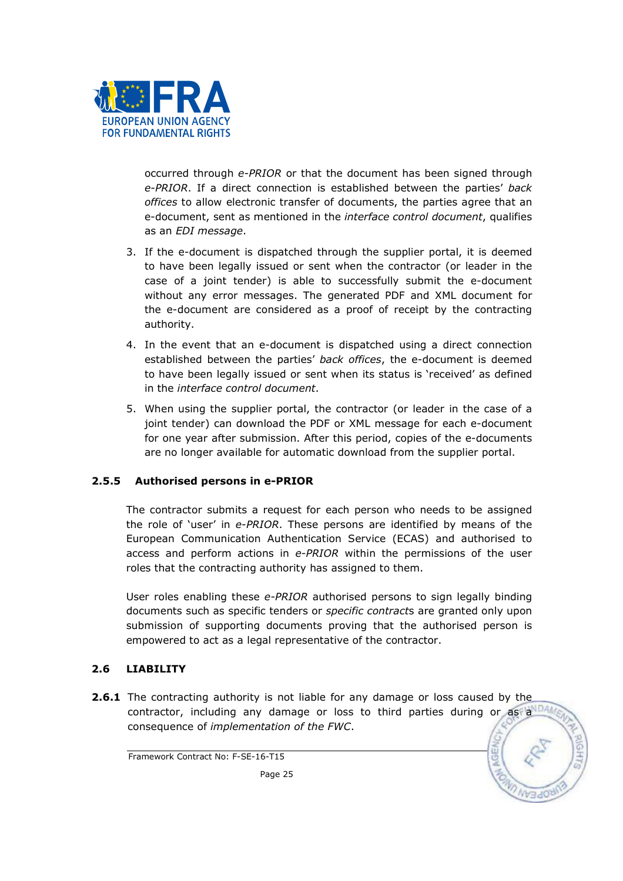

occurred through e-PRIOR or that the document has been signed through e-PRIOR. If a direct connection is established between the parties' back offices to allow electronic transfer of documents, the parties agree that an e-document, sent as mentioned in the *interface control document*, qualifies as an EDI message.

- 3. If the e-document is dispatched through the supplier portal, it is deemed to have been legally issued or sent when the contractor (or leader in the case of a joint tender) is able to successfully submit the e-document without any error messages. The generated PDF and XML document for the e-document are considered as a proof of receipt by the contracting authority.
- 4. In the event that an e-document is dispatched using a direct connection established between the parties' back offices, the e-document is deemed to have been legally issued or sent when its status is 'received' as defined in the interface control document.
- 5. When using the supplier portal, the contractor (or leader in the case of a joint tender) can download the PDF or XML message for each e-document for one year after submission. After this period, copies of the e-documents are no longer available for automatic download from the supplier portal.

## 2.5.5 Authorised persons in e-PRIOR

The contractor submits a request for each person who needs to be assigned the role of 'user' in e-PRIOR. These persons are identified by means of the European Communication Authentication Service (ECAS) and authorised to access and perform actions in e-PRIOR within the permissions of the user roles that the contracting authority has assigned to them.

User roles enabling these e-PRIOR authorised persons to sign legally binding documents such as specific tenders or *specific contracts* are granted only upon submission of supporting documents proving that the authorised person is empowered to act as a legal representative of the contractor.

## 2.6 LIABILITY

**2.6.1** The contracting authority is not liable for any damage or loss caused by the contractor, including any damage or loss to third parties during or as a consequence of implementation of the FWC.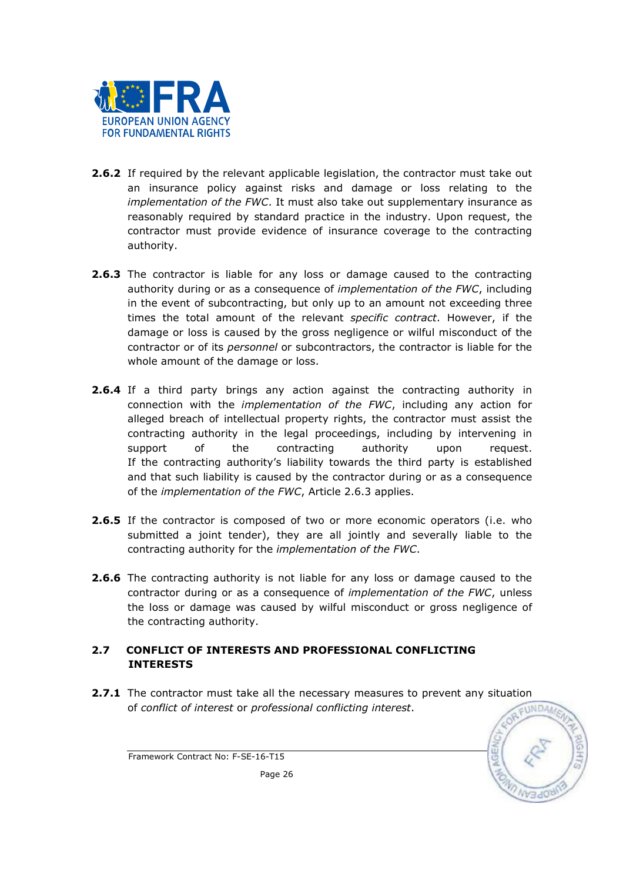

- **2.6.2** If required by the relevant applicable legislation, the contractor must take out an insurance policy against risks and damage or loss relating to the implementation of the FWC. It must also take out supplementary insurance as reasonably required by standard practice in the industry. Upon request, the contractor must provide evidence of insurance coverage to the contracting authority.
- **2.6.3** The contractor is liable for any loss or damage caused to the contracting authority during or as a consequence of implementation of the FWC, including in the event of subcontracting, but only up to an amount not exceeding three times the total amount of the relevant *specific contract*. However, if the damage or loss is caused by the gross negligence or wilful misconduct of the contractor or of its personnel or subcontractors, the contractor is liable for the whole amount of the damage or loss.
- **2.6.4** If a third party brings any action against the contracting authority in connection with the implementation of the FWC, including any action for alleged breach of intellectual property rights, the contractor must assist the contracting authority in the legal proceedings, including by intervening in support of the contracting authority upon request. If the contracting authority's liability towards the third party is established and that such liability is caused by the contractor during or as a consequence of the implementation of the FWC, Article 2.6.3 applies.
- 2.6.5 If the contractor is composed of two or more economic operators (i.e. who submitted a joint tender), they are all jointly and severally liable to the contracting authority for the implementation of the FWC.
- **2.6.6** The contracting authority is not liable for any loss or damage caused to the contractor during or as a consequence of implementation of the FWC, unless the loss or damage was caused by wilful misconduct or gross negligence of the contracting authority.

## 2.7 CONFLICT OF INTERESTS AND PROFESSIONAL CONFLICTING INTERESTS

2.7.1 The contractor must take all the necessary measures to prevent any situation of conflict of interest or professional conflicting interest.

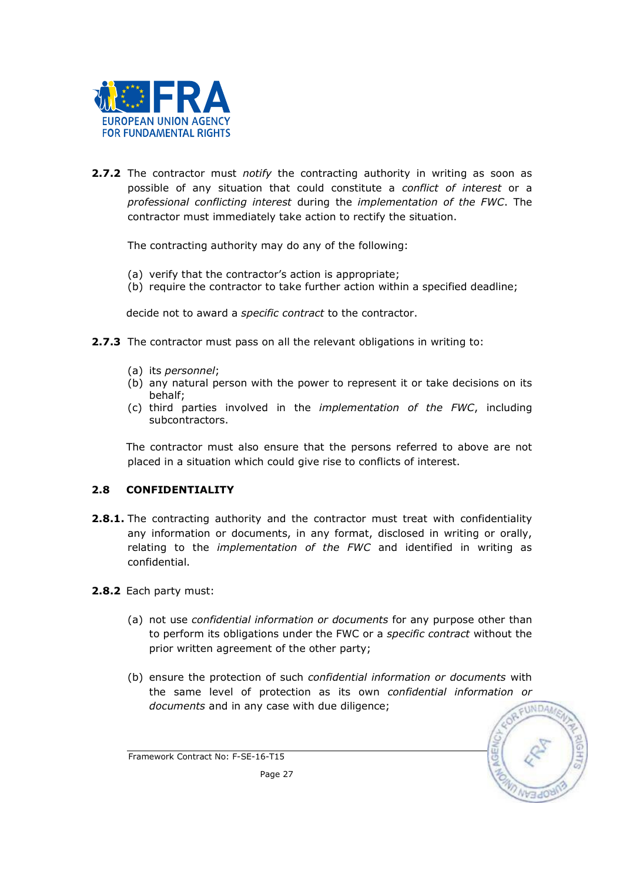

**2.7.2** The contractor must *notify* the contracting authority in writing as soon as possible of any situation that could constitute a conflict of interest or a professional conflicting interest during the implementation of the FWC. The contractor must immediately take action to rectify the situation.

The contracting authority may do any of the following:

- (a) verify that the contractor's action is appropriate;
- (b) require the contractor to take further action within a specified deadline;

decide not to award a specific contract to the contractor.

- 2.7.3 The contractor must pass on all the relevant obligations in writing to:
	- (a) its personnel;
	- (b) any natural person with the power to represent it or take decisions on its behalf;
	- (c) third parties involved in the implementation of the FWC, including subcontractors.

The contractor must also ensure that the persons referred to above are not placed in a situation which could give rise to conflicts of interest.

## 2.8 CONFIDENTIALITY

- **2.8.1.** The contracting authority and the contractor must treat with confidentiality any information or documents, in any format, disclosed in writing or orally, relating to the *implementation of the FWC* and identified in writing as confidential.
- 2.8.2 Each party must:
	- (a) not use confidential information or documents for any purpose other than to perform its obligations under the FWC or a specific contract without the prior written agreement of the other party;
	- (b) ensure the protection of such confidential information or documents with the same level of protection as its own confidential information or documents and in any case with due diligence;

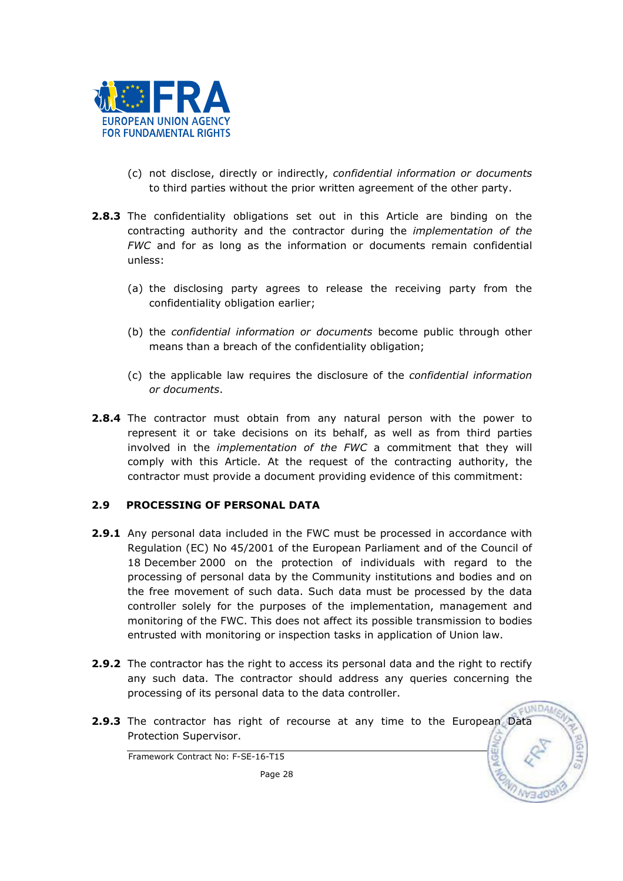

- (c) not disclose, directly or indirectly, confidential information or documents to third parties without the prior written agreement of the other party.
- **2.8.3** The confidentiality obligations set out in this Article are binding on the contracting authority and the contractor during the implementation of the FWC and for as long as the information or documents remain confidential unless:
	- (a) the disclosing party agrees to release the receiving party from the confidentiality obligation earlier;
	- (b) the confidential information or documents become public through other means than a breach of the confidentiality obligation;
	- (c) the applicable law requires the disclosure of the confidential information or documents.
- 2.8.4 The contractor must obtain from any natural person with the power to represent it or take decisions on its behalf, as well as from third parties involved in the implementation of the FWC a commitment that they will comply with this Article. At the request of the contracting authority, the contractor must provide a document providing evidence of this commitment:

## 2.9 PROCESSING OF PERSONAL DATA

- **2.9.1** Any personal data included in the FWC must be processed in accordance with Regulation (EC) No 45/2001 of the European Parliament and of the Council of 18 December 2000 on the protection of individuals with regard to the processing of personal data by the Community institutions and bodies and on the free movement of such data. Such data must be processed by the data controller solely for the purposes of the implementation, management and monitoring of the FWC. This does not affect its possible transmission to bodies entrusted with monitoring or inspection tasks in application of Union law.
- **2.9.2** The contractor has the right to access its personal data and the right to rectify any such data. The contractor should address any queries concerning the processing of its personal data to the data controller.
- **2.9.3** The contractor has right of recourse at any time to the European Data Protection Supervisor.

**UNDAA**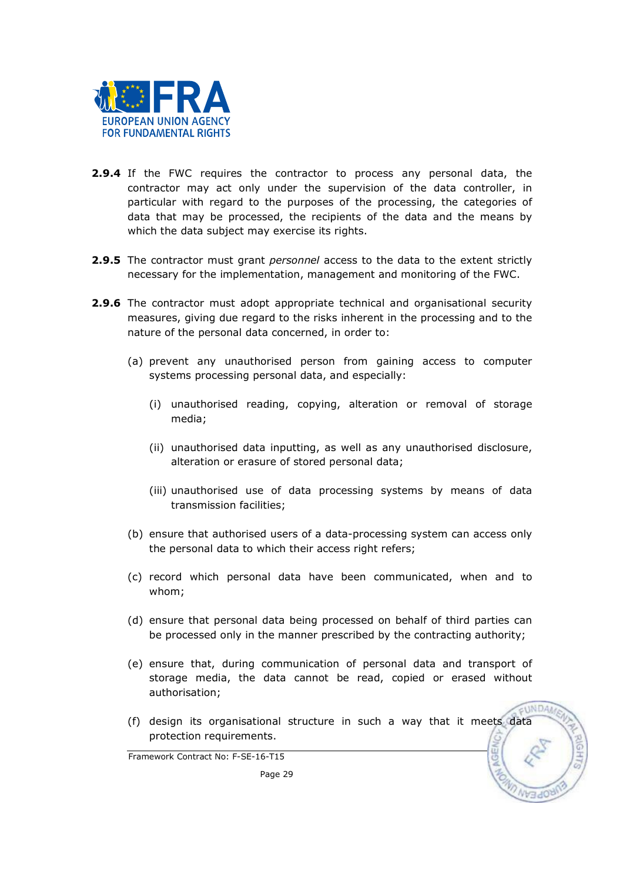

- **2.9.4** If the FWC requires the contractor to process any personal data, the contractor may act only under the supervision of the data controller, in particular with regard to the purposes of the processing, the categories of data that may be processed, the recipients of the data and the means by which the data subject may exercise its rights.
- 2.9.5 The contractor must grant personnel access to the data to the extent strictly necessary for the implementation, management and monitoring of the FWC.
- 2.9.6 The contractor must adopt appropriate technical and organisational security measures, giving due regard to the risks inherent in the processing and to the nature of the personal data concerned, in order to:
	- (a) prevent any unauthorised person from gaining access to computer systems processing personal data, and especially:
		- (i) unauthorised reading, copying, alteration or removal of storage media;
		- (ii) unauthorised data inputting, as well as any unauthorised disclosure, alteration or erasure of stored personal data;
		- (iii) unauthorised use of data processing systems by means of data transmission facilities;
	- (b) ensure that authorised users of a data-processing system can access only the personal data to which their access right refers;
	- (c) record which personal data have been communicated, when and to whom;
	- (d) ensure that personal data being processed on behalf of third parties can be processed only in the manner prescribed by the contracting authority;
	- (e) ensure that, during communication of personal data and transport of storage media, the data cannot be read, copied or erased without authorisation;

**UNDAM** 

(f) design its organisational structure in such a way that it meets data protection requirements.

Framework Contract No: F-SE-16-T15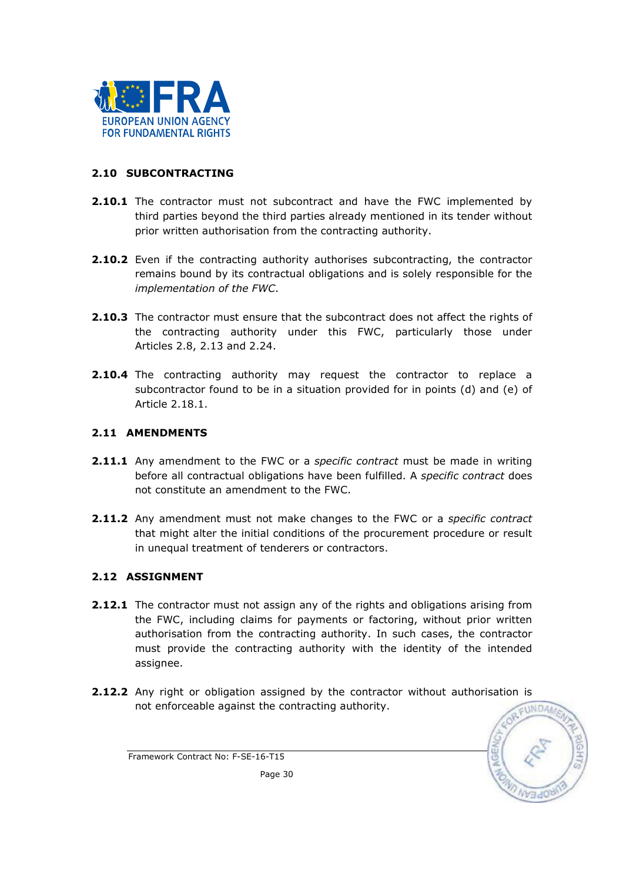

## 2.10 SUBCONTRACTING

- 2.10.1 The contractor must not subcontract and have the FWC implemented by third parties beyond the third parties already mentioned in its tender without prior written authorisation from the contracting authority.
- **2.10.2** Even if the contracting authority authorises subcontracting, the contractor remains bound by its contractual obligations and is solely responsible for the implementation of the FWC.
- 2.10.3 The contractor must ensure that the subcontract does not affect the rights of the contracting authority under this FWC, particularly those under Articles 2.8, 2.13 and 2.24.
- **2.10.4** The contracting authority may request the contractor to replace a subcontractor found to be in a situation provided for in points (d) and (e) of Article 2.18.1.

## 2.11 AMENDMENTS

- 2.11.1 Any amendment to the FWC or a specific contract must be made in writing before all contractual obligations have been fulfilled. A specific contract does not constitute an amendment to the FWC.
- **2.11.2** Any amendment must not make changes to the FWC or a specific contract that might alter the initial conditions of the procurement procedure or result in unequal treatment of tenderers or contractors.

## 2.12 ASSIGNMENT

- **2.12.1** The contractor must not assign any of the rights and obligations arising from the FWC, including claims for payments or factoring, without prior written authorisation from the contracting authority. In such cases, the contractor must provide the contracting authority with the identity of the intended assignee.
- 2.12.2 Any right or obligation assigned by the contractor without authorisation is not enforceable against the contracting authority.



Framework Contract No: F-SE-16-T15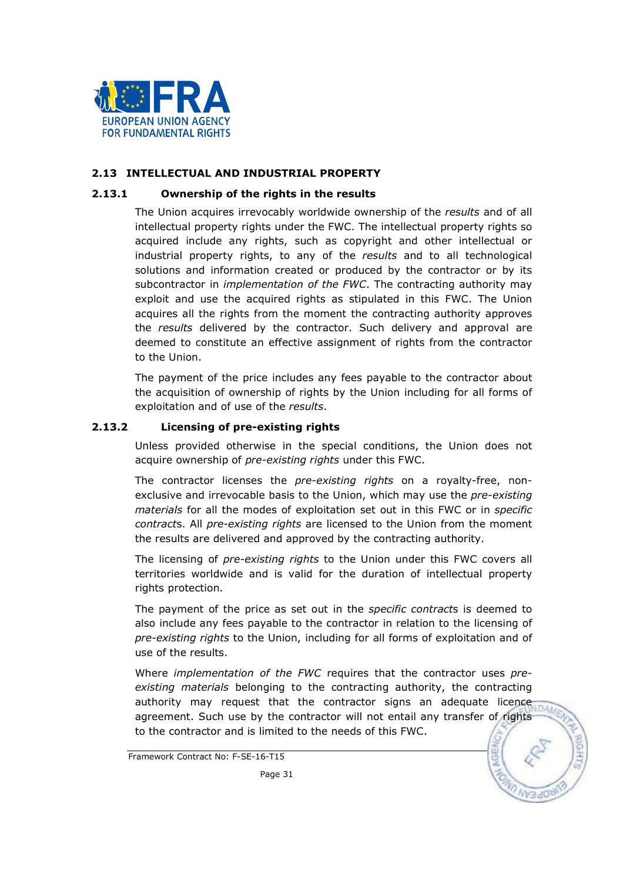

#### 2.13 INTELLECTUAL AND INDUSTRIAL PROPERTY

#### 2.13.1 Ownership of the rights in the results

The Union acquires irrevocably worldwide ownership of the results and of all intellectual property rights under the FWC. The intellectual property rights so acquired include any rights, such as copyright and other intellectual or industrial property rights, to any of the results and to all technological solutions and information created or produced by the contractor or by its subcontractor in *implementation of the FWC*. The contracting authority may exploit and use the acquired rights as stipulated in this FWC. The Union acquires all the rights from the moment the contracting authority approves the results delivered by the contractor. Such delivery and approval are deemed to constitute an effective assignment of rights from the contractor to the Union.

The payment of the price includes any fees payable to the contractor about the acquisition of ownership of rights by the Union including for all forms of exploitation and of use of the results.

#### 2.13.2 Licensing of pre-existing rights

Unless provided otherwise in the special conditions, the Union does not acquire ownership of pre-existing rights under this FWC.

The contractor licenses the pre-existing rights on a royalty-free, nonexclusive and irrevocable basis to the Union, which may use the pre-existing materials for all the modes of exploitation set out in this FWC or in specific contracts. All pre-existing rights are licensed to the Union from the moment the results are delivered and approved by the contracting authority.

The licensing of *pre-existing rights* to the Union under this FWC covers all territories worldwide and is valid for the duration of intellectual property rights protection.

The payment of the price as set out in the *specific contracts* is deemed to also include any fees payable to the contractor in relation to the licensing of pre-existing rights to the Union, including for all forms of exploitation and of use of the results.

Where *implementation of the FWC* requires that the contractor uses preexisting materials belonging to the contracting authority, the contracting existing materials selections is a contractor signs an adequate licence authority may request that the contractor signs an adequate licence agreement. Such use by the contractor will not entail any transfer of rights to the contractor and is limited to the needs of this FWC.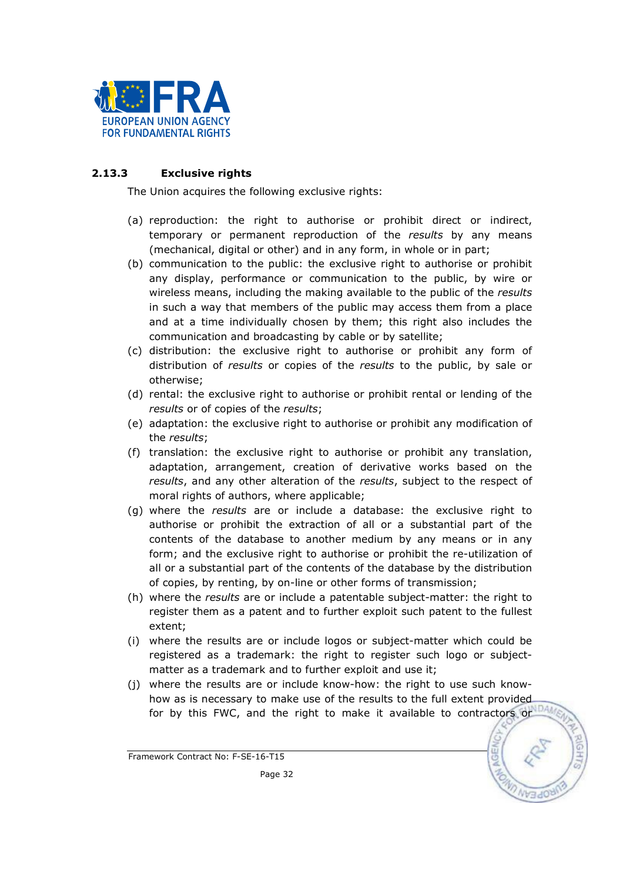

## 2.13.3 Exclusive rights

The Union acquires the following exclusive rights:

- (a) reproduction: the right to authorise or prohibit direct or indirect, temporary or permanent reproduction of the results by any means (mechanical, digital or other) and in any form, in whole or in part;
- (b) communication to the public: the exclusive right to authorise or prohibit any display, performance or communication to the public, by wire or wireless means, including the making available to the public of the results in such a way that members of the public may access them from a place and at a time individually chosen by them; this right also includes the communication and broadcasting by cable or by satellite;
- (c) distribution: the exclusive right to authorise or prohibit any form of distribution of results or copies of the results to the public, by sale or otherwise;
- (d) rental: the exclusive right to authorise or prohibit rental or lending of the results or of copies of the results;
- (e) adaptation: the exclusive right to authorise or prohibit any modification of the results;
- (f) translation: the exclusive right to authorise or prohibit any translation, adaptation, arrangement, creation of derivative works based on the results, and any other alteration of the results, subject to the respect of moral rights of authors, where applicable;
- (g) where the results are or include a database: the exclusive right to authorise or prohibit the extraction of all or a substantial part of the contents of the database to another medium by any means or in any form; and the exclusive right to authorise or prohibit the re-utilization of all or a substantial part of the contents of the database by the distribution of copies, by renting, by on-line or other forms of transmission;
- (h) where the *results* are or include a patentable subject-matter: the right to register them as a patent and to further exploit such patent to the fullest extent;
- (i) where the results are or include logos or subject-matter which could be registered as a trademark: the right to register such logo or subjectmatter as a trademark and to further exploit and use it;
- (j) where the results are or include know-how: the right to use such knowhow as is necessary to make use of the results to the full extent provided for by this FWC, and the right to make it available to contractors or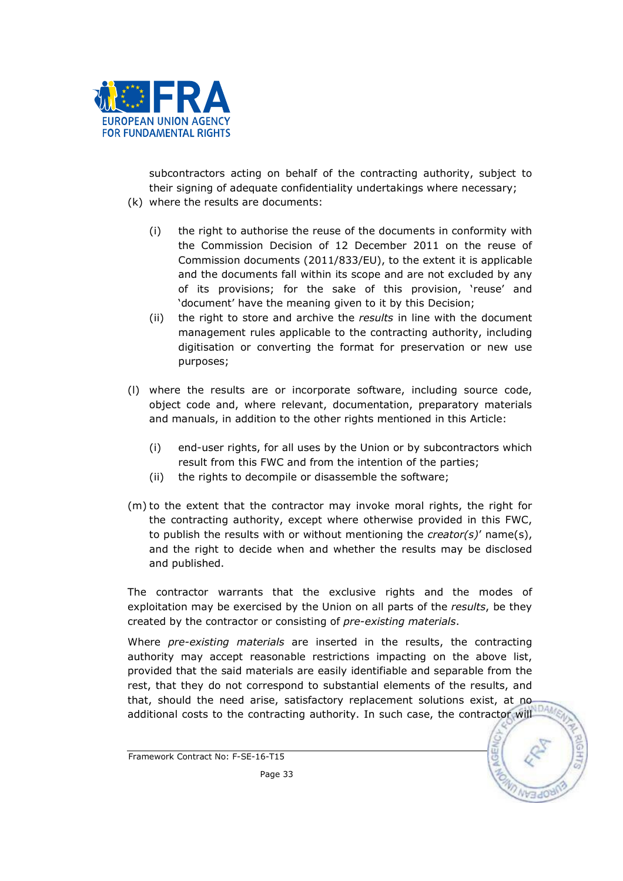

subcontractors acting on behalf of the contracting authority, subject to their signing of adequate confidentiality undertakings where necessary; (k) where the results are documents:

- (i) the right to authorise the reuse of the documents in conformity with the Commission Decision of 12 December 2011 on the reuse of Commission documents (2011/833/EU), to the extent it is applicable and the documents fall within its scope and are not excluded by any of its provisions; for the sake of this provision, 'reuse' and 'document' have the meaning given to it by this Decision;
- (ii) the right to store and archive the results in line with the document management rules applicable to the contracting authority, including digitisation or converting the format for preservation or new use purposes;
- (l) where the results are or incorporate software, including source code, object code and, where relevant, documentation, preparatory materials and manuals, in addition to the other rights mentioned in this Article:
	- (i) end-user rights, for all uses by the Union or by subcontractors which result from this FWC and from the intention of the parties;
	- (ii) the rights to decompile or disassemble the software;
- (m) to the extent that the contractor may invoke moral rights, the right for the contracting authority, except where otherwise provided in this FWC, to publish the results with or without mentioning the *creator(s)'* name(s), and the right to decide when and whether the results may be disclosed and published.

The contractor warrants that the exclusive rights and the modes of exploitation may be exercised by the Union on all parts of the results, be they created by the contractor or consisting of pre-existing materials.

Where *pre-existing materials* are inserted in the results, the contracting authority may accept reasonable restrictions impacting on the above list, provided that the said materials are easily identifiable and separable from the rest, that they do not correspond to substantial elements of the results, and that, should the need arise, satisfactory replacement solutions exist, at no additional costs to the contracting authority. In such case, the contractor will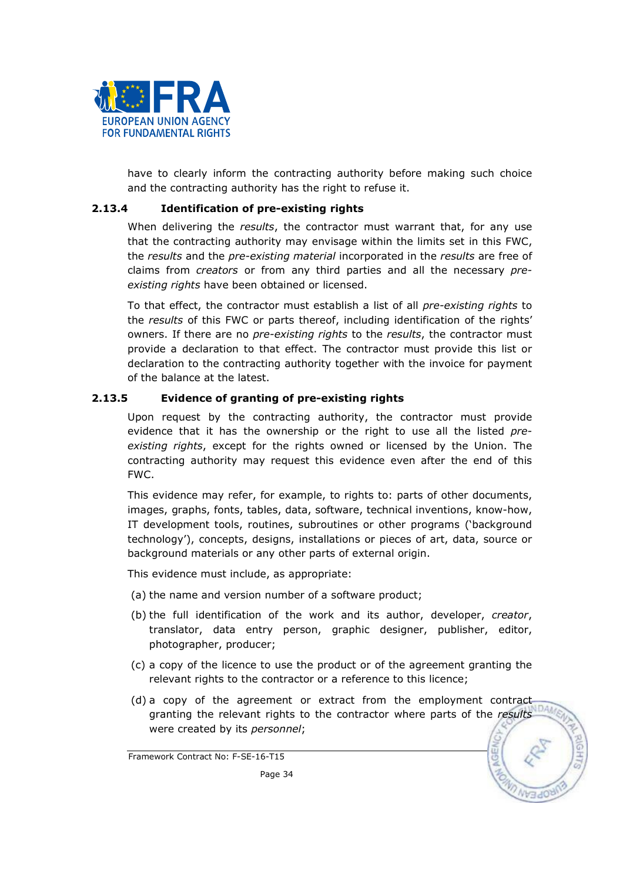

have to clearly inform the contracting authority before making such choice and the contracting authority has the right to refuse it.

#### 2.13.4 Identification of pre-existing rights

When delivering the *results*, the contractor must warrant that, for any use that the contracting authority may envisage within the limits set in this FWC, the results and the pre-existing material incorporated in the results are free of claims from *creators* or from any third parties and all the necessary preexisting rights have been obtained or licensed.

To that effect, the contractor must establish a list of all pre-existing rights to the results of this FWC or parts thereof, including identification of the rights' owners. If there are no *pre-existing rights* to the *results*, the contractor must provide a declaration to that effect. The contractor must provide this list or declaration to the contracting authority together with the invoice for payment of the balance at the latest.

#### 2.13.5 Evidence of granting of pre-existing rights

Upon request by the contracting authority, the contractor must provide evidence that it has the ownership or the right to use all the listed preexisting rights, except for the rights owned or licensed by the Union. The contracting authority may request this evidence even after the end of this FWC.

This evidence may refer, for example, to rights to: parts of other documents, images, graphs, fonts, tables, data, software, technical inventions, know-how, IT development tools, routines, subroutines or other programs ('background technology'), concepts, designs, installations or pieces of art, data, source or background materials or any other parts of external origin.

This evidence must include, as appropriate:

- (a) the name and version number of a software product;
- (b) the full identification of the work and its author, developer, creator, translator, data entry person, graphic designer, publisher, editor, photographer, producer;
- (c) a copy of the licence to use the product or of the agreement granting the relevant rights to the contractor or a reference to this licence;
- (d) a copy of the agreement or extract from the employment contract granting the relevant rights to the contractor where parts of the results were created by its personnel;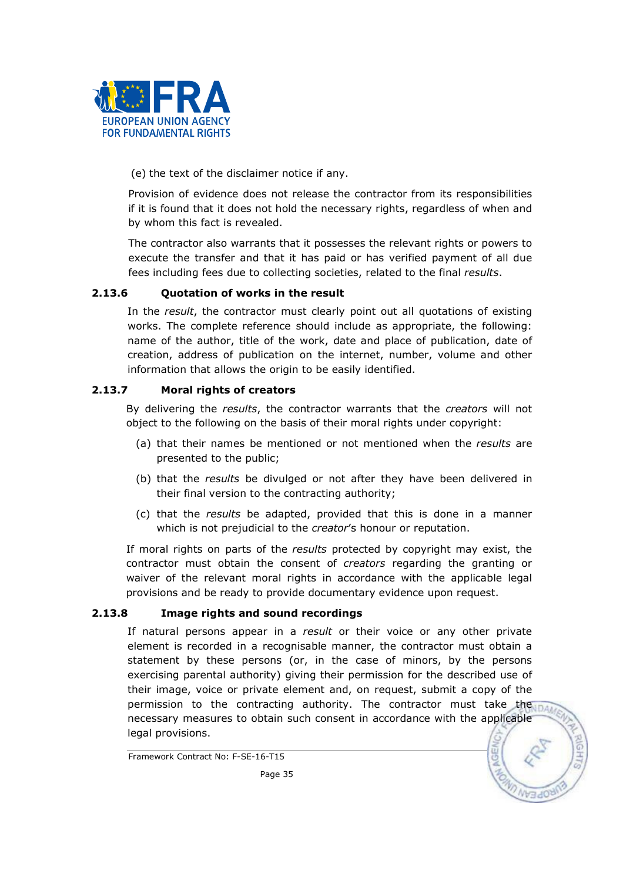

(e) the text of the disclaimer notice if any.

Provision of evidence does not release the contractor from its responsibilities if it is found that it does not hold the necessary rights, regardless of when and by whom this fact is revealed.

The contractor also warrants that it possesses the relevant rights or powers to execute the transfer and that it has paid or has verified payment of all due fees including fees due to collecting societies, related to the final results.

## 2.13.6 Quotation of works in the result

In the result, the contractor must clearly point out all quotations of existing works. The complete reference should include as appropriate, the following: name of the author, title of the work, date and place of publication, date of creation, address of publication on the internet, number, volume and other information that allows the origin to be easily identified.

#### 2.13.7 Moral rights of creators

By delivering the results, the contractor warrants that the *creators* will not object to the following on the basis of their moral rights under copyright:

- (a) that their names be mentioned or not mentioned when the results are presented to the public;
- (b) that the results be divulged or not after they have been delivered in their final version to the contracting authority;
- (c) that the results be adapted, provided that this is done in a manner which is not prejudicial to the *creator's* honour or reputation.

If moral rights on parts of the results protected by copyright may exist, the contractor must obtain the consent of creators regarding the granting or waiver of the relevant moral rights in accordance with the applicable legal provisions and be ready to provide documentary evidence upon request.

#### 2.13.8 Image rights and sound recordings

If natural persons appear in a result or their voice or any other private element is recorded in a recognisable manner, the contractor must obtain a statement by these persons (or, in the case of minors, by the persons exercising parental authority) giving their permission for the described use of their image, voice or private element and, on request, submit a copy of the permission to the contracting authority. The contractor must take the part necessary measures to obtain such consent in accordance with the applicable legal provisions.

Framework Contract No: F-SE-16-T15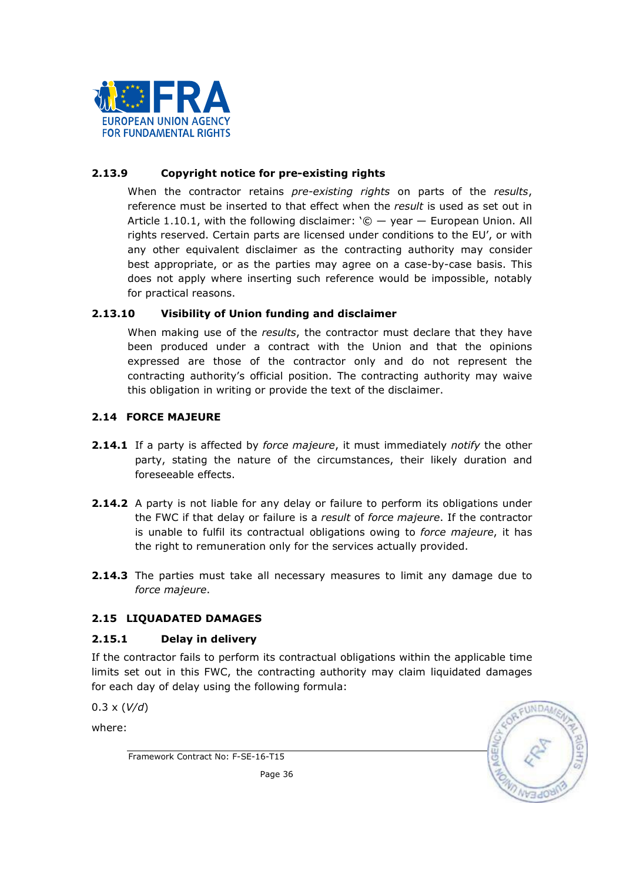

## 2.13.9 Copyright notice for pre-existing rights

When the contractor retains *pre-existing rights* on parts of the results, reference must be inserted to that effect when the result is used as set out in Article 1.10.1, with the following disclaimer:  $\degree$   $\degree$   $-$  year  $-$  European Union. All rights reserved. Certain parts are licensed under conditions to the EU', or with any other equivalent disclaimer as the contracting authority may consider best appropriate, or as the parties may agree on a case-by-case basis. This does not apply where inserting such reference would be impossible, notably for practical reasons.

## 2.13.10 Visibility of Union funding and disclaimer

When making use of the *results*, the contractor must declare that they have been produced under a contract with the Union and that the opinions expressed are those of the contractor only and do not represent the contracting authority's official position. The contracting authority may waive this obligation in writing or provide the text of the disclaimer.

## 2.14 FORCE MAJEURE

- **2.14.1** If a party is affected by force majeure, it must immediately notify the other party, stating the nature of the circumstances, their likely duration and foreseeable effects.
- 2.14.2 A party is not liable for any delay or failure to perform its obligations under the FWC if that delay or failure is a result of force majeure. If the contractor is unable to fulfil its contractual obligations owing to force majeure, it has the right to remuneration only for the services actually provided.
- **2.14.3** The parties must take all necessary measures to limit any damage due to force majeure.

## 2.15 LIQUADATED DAMAGES

## 2.15.1 Delay in delivery

If the contractor fails to perform its contractual obligations within the applicable time limits set out in this FWC, the contracting authority may claim liquidated damages for each day of delay using the following formula:

 $0.3 \times (V/d)$ 

where:

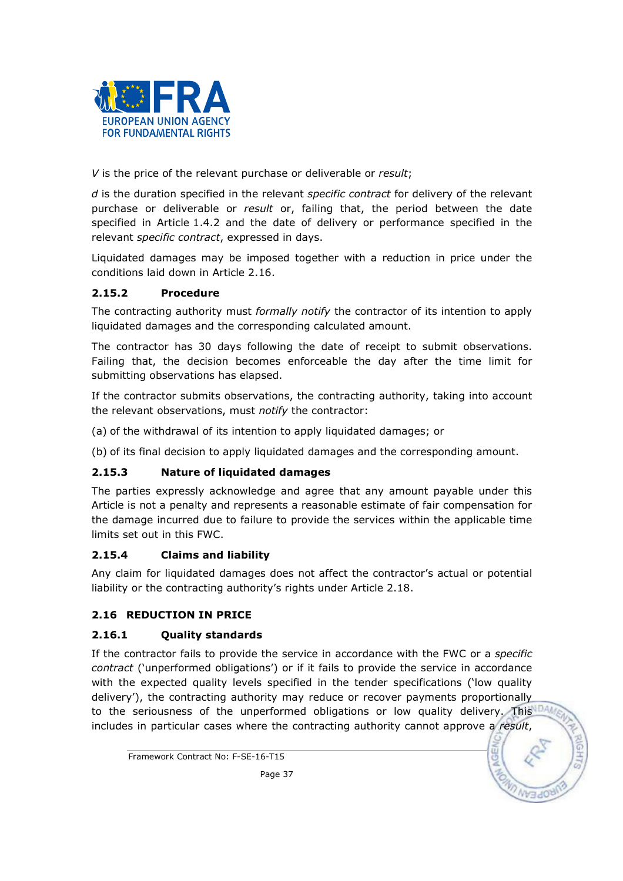

V is the price of the relevant purchase or deliverable or result;

d is the duration specified in the relevant specific contract for delivery of the relevant purchase or deliverable or result or, failing that, the period between the date specified in Article 1.4.2 and the date of delivery or performance specified in the relevant *specific contract*, expressed in days.

Liquidated damages may be imposed together with a reduction in price under the conditions laid down in Article 2.16.

## 2.15.2 Procedure

The contracting authority must formally notify the contractor of its intention to apply liquidated damages and the corresponding calculated amount.

The contractor has 30 days following the date of receipt to submit observations. Failing that, the decision becomes enforceable the day after the time limit for submitting observations has elapsed.

If the contractor submits observations, the contracting authority, taking into account the relevant observations, must notify the contractor:

(a) of the withdrawal of its intention to apply liquidated damages; or

(b) of its final decision to apply liquidated damages and the corresponding amount.

## 2.15.3 Nature of liquidated damages

The parties expressly acknowledge and agree that any amount payable under this Article is not a penalty and represents a reasonable estimate of fair compensation for the damage incurred due to failure to provide the services within the applicable time limits set out in this FWC.

## 2.15.4 Claims and liability

Any claim for liquidated damages does not affect the contractor's actual or potential liability or the contracting authority's rights under Article 2.18.

## 2.16 REDUCTION IN PRICE

## 2.16.1 Quality standards

If the contractor fails to provide the service in accordance with the FWC or a specific contract ('unperformed obligations') or if it fails to provide the service in accordance with the expected quality levels specified in the tender specifications ('low quality delivery'), the contracting authority may reduce or recover payments proportionally to the seriousness of the unperformed obligations or low quality delivery. This includes in particular cases where the contracting authority cannot approve a result,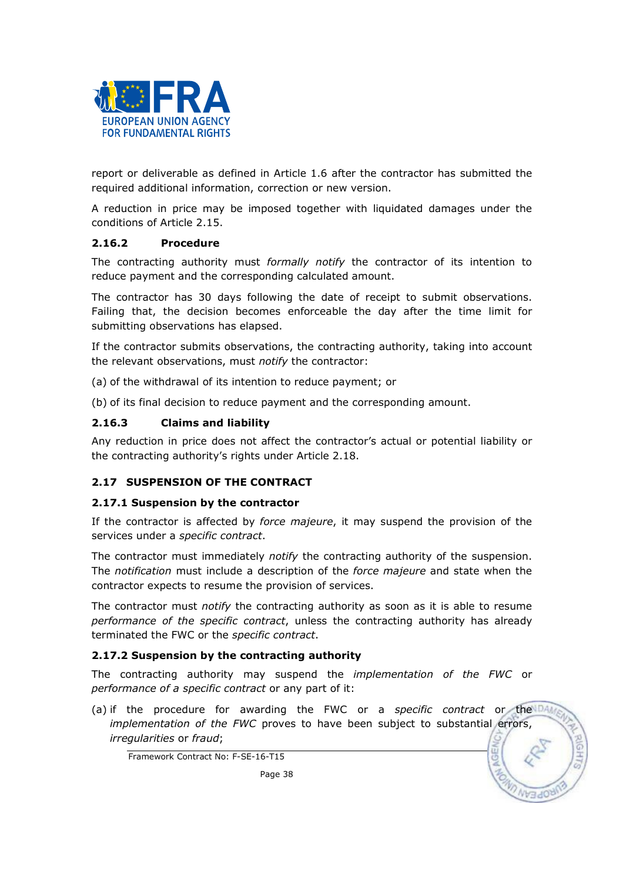

report or deliverable as defined in Article 1.6 after the contractor has submitted the required additional information, correction or new version.

A reduction in price may be imposed together with liquidated damages under the conditions of Article 2.15.

#### 2.16.2 Procedure

The contracting authority must formally notify the contractor of its intention to reduce payment and the corresponding calculated amount.

The contractor has 30 days following the date of receipt to submit observations. Failing that, the decision becomes enforceable the day after the time limit for submitting observations has elapsed.

If the contractor submits observations, the contracting authority, taking into account the relevant observations, must *notify* the contractor:

(a) of the withdrawal of its intention to reduce payment; or

(b) of its final decision to reduce payment and the corresponding amount.

## 2.16.3 Claims and liability

Any reduction in price does not affect the contractor's actual or potential liability or the contracting authority's rights under Article 2.18.

## 2.17 SUSPENSION OF THE CONTRACT

## 2.17.1 Suspension by the contractor

If the contractor is affected by *force majeure*, it may suspend the provision of the services under a specific contract.

The contractor must immediately *notify* the contracting authority of the suspension. The notification must include a description of the force majeure and state when the contractor expects to resume the provision of services.

The contractor must *notify* the contracting authority as soon as it is able to resume performance of the specific contract, unless the contracting authority has already terminated the FWC or the specific contract.

## 2.17.2 Suspension by the contracting authority

The contracting authority may suspend the *implementation of the FWC* or performance of a specific contract or any part of it:

(a) if the procedure for awarding the FWC or a specific contract or the implementation of the FWC proves to have been subject to substantial errors, irregularities or fraud;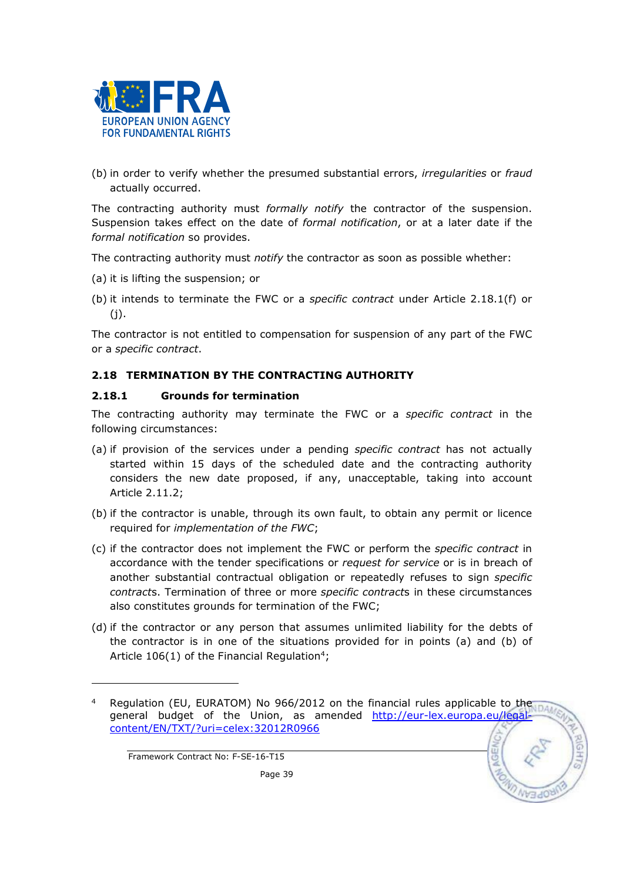

(b) in order to verify whether the presumed substantial errors, irregularities or fraud actually occurred.

The contracting authority must *formally notify* the contractor of the suspension. Suspension takes effect on the date of formal notification, or at a later date if the formal notification so provides.

The contracting authority must notify the contractor as soon as possible whether:

- (a) it is lifting the suspension; or
- (b) it intends to terminate the FWC or a specific contract under Article 2.18.1(f) or (j).

The contractor is not entitled to compensation for suspension of any part of the FWC or a specific contract.

## 2.18 TERMINATION BY THE CONTRACTING AUTHORITY

#### 2.18.1 Grounds for termination

The contracting authority may terminate the FWC or a specific contract in the following circumstances:

- (a) if provision of the services under a pending specific contract has not actually started within 15 days of the scheduled date and the contracting authority considers the new date proposed, if any, unacceptable, taking into account Article 2.11.2;
- (b) if the contractor is unable, through its own fault, to obtain any permit or licence required for implementation of the FWC;
- (c) if the contractor does not implement the FWC or perform the specific contract in accordance with the tender specifications or request for service or is in breach of another substantial contractual obligation or repeatedly refuses to sign specific contracts. Termination of three or more specific contracts in these circumstances also constitutes grounds for termination of the FWC;
- (d) if the contractor or any person that assumes unlimited liability for the debts of the contractor is in one of the situations provided for in points (a) and (b) of Article  $106(1)$  of the Financial Regulation<sup>4</sup>;

Framework Contract No: F-SE-16-T15

l

<sup>4</sup> Regulation (EU, EURATOM) No 966/2012 on the financial rules applicable to the general budget of the Union, as amended http://eur-lex.europa.eu/legalcontent/EN/TXT/?uri=celex:32012R0966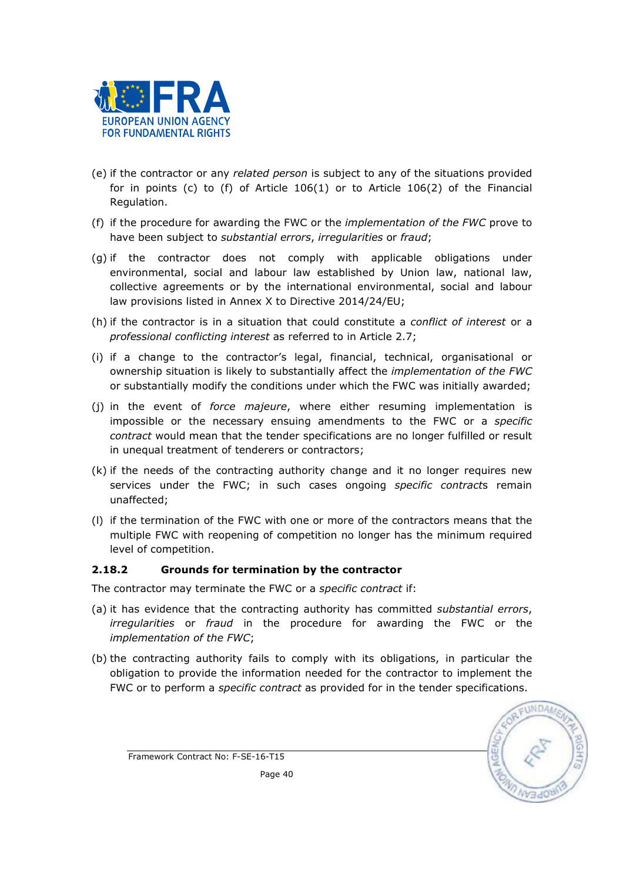

- (e) if the contractor or any related person is subject to any of the situations provided for in points (c) to (f) of Article 106(1) or to Article 106(2) of the Financial Regulation.
- (f) if the procedure for awarding the FWC or the *implementation of the FWC* prove to have been subject to *substantial errors, irregularities* or *fraud*;
- (g) if the contractor does not comply with applicable obligations under environmental, social and labour law established by Union law, national law, collective agreements or by the international environmental, social and labour law provisions listed in Annex X to Directive 2014/24/EU;
- (h) if the contractor is in a situation that could constitute a *conflict of interest* or a professional conflicting interest as referred to in Article 2.7;
- (i) if a change to the contractor's legal, financial, technical, organisational or ownership situation is likely to substantially affect the implementation of the FWC or substantially modify the conditions under which the FWC was initially awarded;
- (j) in the event of *force majeure*, where either resuming implementation is impossible or the necessary ensuing amendments to the FWC or a specific contract would mean that the tender specifications are no longer fulfilled or result in unequal treatment of tenderers or contractors;
- (k) if the needs of the contracting authority change and it no longer requires new services under the FWC; in such cases ongoing specific contracts remain unaffected;
- (l) if the termination of the FWC with one or more of the contractors means that the multiple FWC with reopening of competition no longer has the minimum required level of competition.

## 2.18.2 Grounds for termination by the contractor

The contractor may terminate the FWC or a specific contract if:

- (a) it has evidence that the contracting authority has committed substantial errors, irregularities or fraud in the procedure for awarding the FWC or the implementation of the FWC;
- (b) the contracting authority fails to comply with its obligations, in particular the obligation to provide the information needed for the contractor to implement the FWC or to perform a *specific contract* as provided for in the tender specifications.

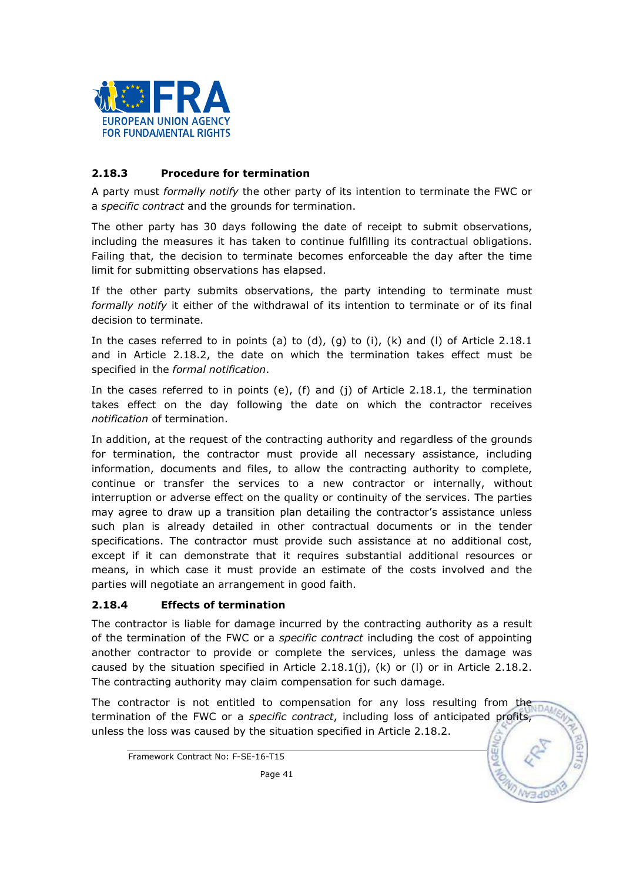

## 2.18.3 Procedure for termination

A party must *formally notify* the other party of its intention to terminate the FWC or a specific contract and the grounds for termination.

The other party has 30 days following the date of receipt to submit observations, including the measures it has taken to continue fulfilling its contractual obligations. Failing that, the decision to terminate becomes enforceable the day after the time limit for submitting observations has elapsed.

If the other party submits observations, the party intending to terminate must formally notify it either of the withdrawal of its intention to terminate or of its final decision to terminate.

In the cases referred to in points (a) to (d), (g) to (i), (k) and (l) of Article 2.18.1 and in Article 2.18.2, the date on which the termination takes effect must be specified in the formal notification.

In the cases referred to in points (e), (f) and (j) of Article 2.18.1, the termination takes effect on the day following the date on which the contractor receives notification of termination.

In addition, at the request of the contracting authority and regardless of the grounds for termination, the contractor must provide all necessary assistance, including information, documents and files, to allow the contracting authority to complete, continue or transfer the services to a new contractor or internally, without interruption or adverse effect on the quality or continuity of the services. The parties may agree to draw up a transition plan detailing the contractor's assistance unless such plan is already detailed in other contractual documents or in the tender specifications. The contractor must provide such assistance at no additional cost, except if it can demonstrate that it requires substantial additional resources or means, in which case it must provide an estimate of the costs involved and the parties will negotiate an arrangement in good faith.

## 2.18.4 Effects of termination

The contractor is liable for damage incurred by the contracting authority as a result of the termination of the FWC or a *specific contract* including the cost of appointing another contractor to provide or complete the services, unless the damage was caused by the situation specified in Article  $2.18.1(j)$ , (k) or (I) or in Article  $2.18.2$ . The contracting authority may claim compensation for such damage.

The contractor is not entitled to compensation for any loss resulting from the termination of the FWC or a *specific contract*, including loss of anticipated profits, unless the loss was caused by the situation specified in Article 2.18.2.

Framework Contract No: F-SE-16-T15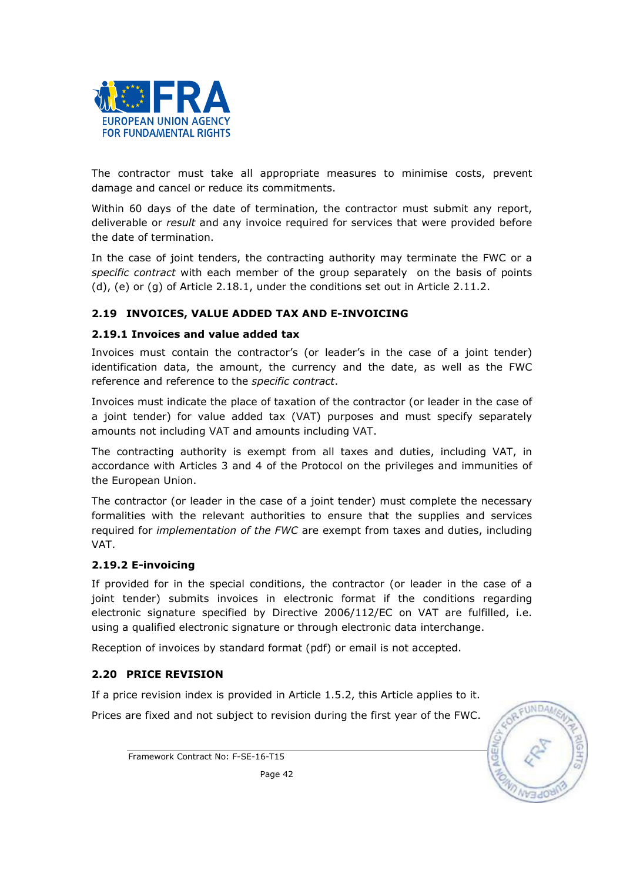

The contractor must take all appropriate measures to minimise costs, prevent damage and cancel or reduce its commitments.

Within 60 days of the date of termination, the contractor must submit any report, deliverable or result and any invoice required for services that were provided before the date of termination.

In the case of joint tenders, the contracting authority may terminate the FWC or a specific contract with each member of the group separately on the basis of points (d), (e) or (g) of Article 2.18.1, under the conditions set out in Article 2.11.2.

## 2.19 INVOICES, VALUE ADDED TAX AND E-INVOICING

## 2.19.1 Invoices and value added tax

Invoices must contain the contractor's (or leader's in the case of a joint tender) identification data, the amount, the currency and the date, as well as the FWC reference and reference to the specific contract.

Invoices must indicate the place of taxation of the contractor (or leader in the case of a joint tender) for value added tax (VAT) purposes and must specify separately amounts not including VAT and amounts including VAT.

The contracting authority is exempt from all taxes and duties, including VAT, in accordance with Articles 3 and 4 of the Protocol on the privileges and immunities of the European Union.

The contractor (or leader in the case of a joint tender) must complete the necessary formalities with the relevant authorities to ensure that the supplies and services required for *implementation of the FWC* are exempt from taxes and duties, including VAT.

## 2.19.2 E-invoicing

If provided for in the special conditions, the contractor (or leader in the case of a joint tender) submits invoices in electronic format if the conditions regarding electronic signature specified by Directive 2006/112/EC on VAT are fulfilled, i.e. using a qualified electronic signature or through electronic data interchange.

Reception of invoices by standard format (pdf) or email is not accepted.

## 2.20 PRICE REVISION

If a price revision index is provided in Article 1.5.2, this Article applies to it.

Prices are fixed and not subject to revision during the first year of the FWC.



Framework Contract No: F-SE-16-T15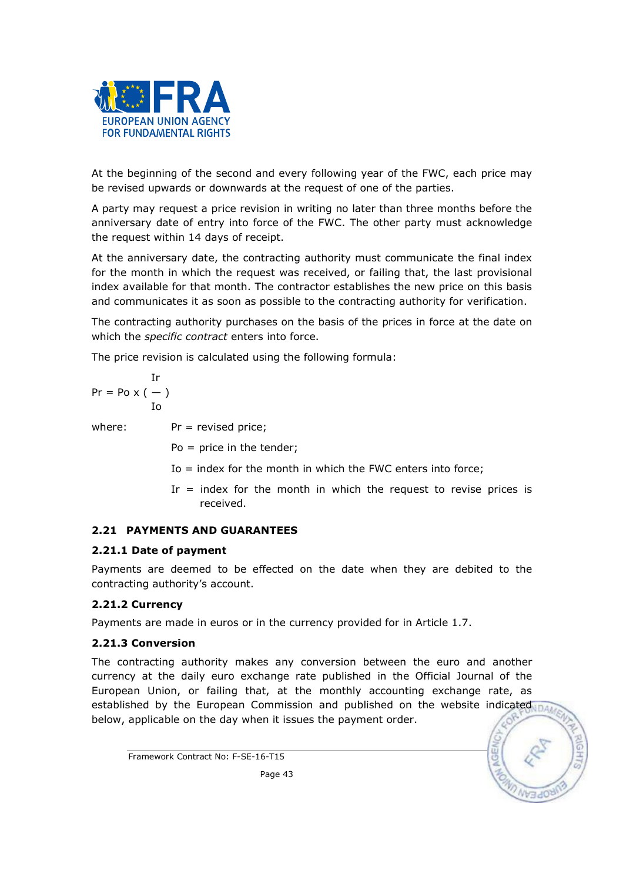

At the beginning of the second and every following year of the FWC, each price may be revised upwards or downwards at the request of one of the parties.

A party may request a price revision in writing no later than three months before the anniversary date of entry into force of the FWC. The other party must acknowledge the request within 14 days of receipt.

At the anniversary date, the contracting authority must communicate the final index for the month in which the request was received, or failing that, the last provisional index available for that month. The contractor establishes the new price on this basis and communicates it as soon as possible to the contracting authority for verification.

The contracting authority purchases on the basis of the prices in force at the date on which the specific contract enters into force.

The price revision is calculated using the following formula:

$$
\Pr = \text{Po} \times (-)
$$
  
Io

where:  $Pr =$  revised price;

Po = price in the tender;

- Io = index for the month in which the FWC enters into force;
- Ir = index for the month in which the request to revise prices is received.

## 2.21 PAYMENTS AND GUARANTEES

## 2.21.1 Date of payment

Payments are deemed to be effected on the date when they are debited to the contracting authority's account.

## 2.21.2 Currency

Payments are made in euros or in the currency provided for in Article 1.7.

## 2.21.3 Conversion

The contracting authority makes any conversion between the euro and another currency at the daily euro exchange rate published in the Official Journal of the European Union, or failing that, at the monthly accounting exchange rate, as established by the European Commission and published on the website indicated below, applicable on the day when it issues the payment order.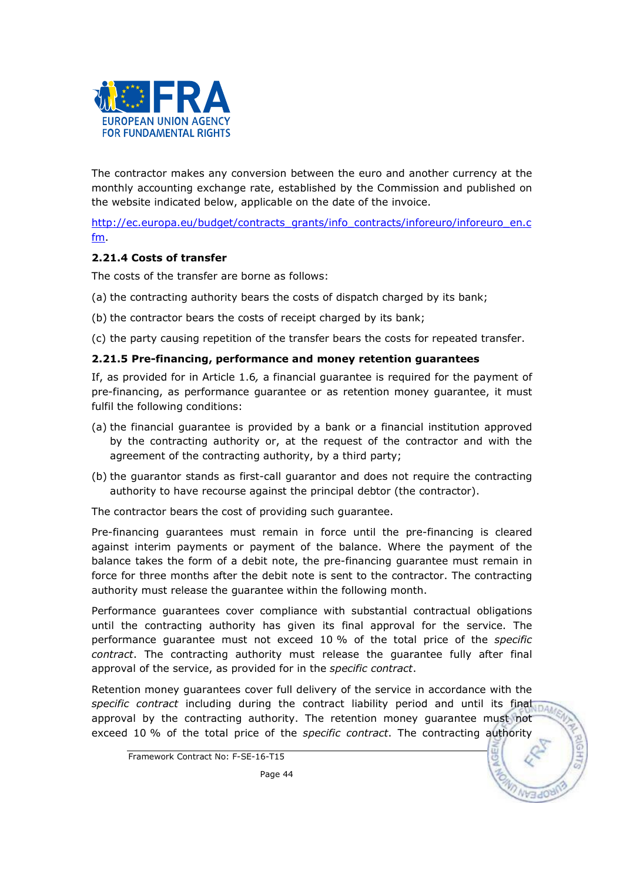

The contractor makes any conversion between the euro and another currency at the monthly accounting exchange rate, established by the Commission and published on the website indicated below, applicable on the date of the invoice.

http://ec.europa.eu/budget/contracts\_grants/info\_contracts/inforeuro/inforeuro\_en.c fm.

## 2.21.4 Costs of transfer

The costs of the transfer are borne as follows:

- (a) the contracting authority bears the costs of dispatch charged by its bank;
- (b) the contractor bears the costs of receipt charged by its bank;

(c) the party causing repetition of the transfer bears the costs for repeated transfer.

#### 2.21.5 Pre-financing, performance and money retention guarantees

If, as provided for in Article 1.6, a financial guarantee is required for the payment of pre-financing, as performance guarantee or as retention money guarantee, it must fulfil the following conditions:

- (a) the financial guarantee is provided by a bank or a financial institution approved by the contracting authority or, at the request of the contractor and with the agreement of the contracting authority, by a third party;
- (b) the guarantor stands as first-call guarantor and does not require the contracting authority to have recourse against the principal debtor (the contractor).

The contractor bears the cost of providing such guarantee.

Pre-financing guarantees must remain in force until the pre-financing is cleared against interim payments or payment of the balance. Where the payment of the balance takes the form of a debit note, the pre-financing guarantee must remain in force for three months after the debit note is sent to the contractor. The contracting authority must release the guarantee within the following month.

Performance guarantees cover compliance with substantial contractual obligations until the contracting authority has given its final approval for the service. The performance guarantee must not exceed 10 % of the total price of the specific contract. The contracting authority must release the guarantee fully after final approval of the service, as provided for in the specific contract.

Retention money guarantees cover full delivery of the service in accordance with the specific contract including during the contract liability period and until its final part approval by the contracting authority. The retention money guarantee must not exceed 10 % of the total price of the specific contract. The contracting authority

Framework Contract No: F-SE-16-T15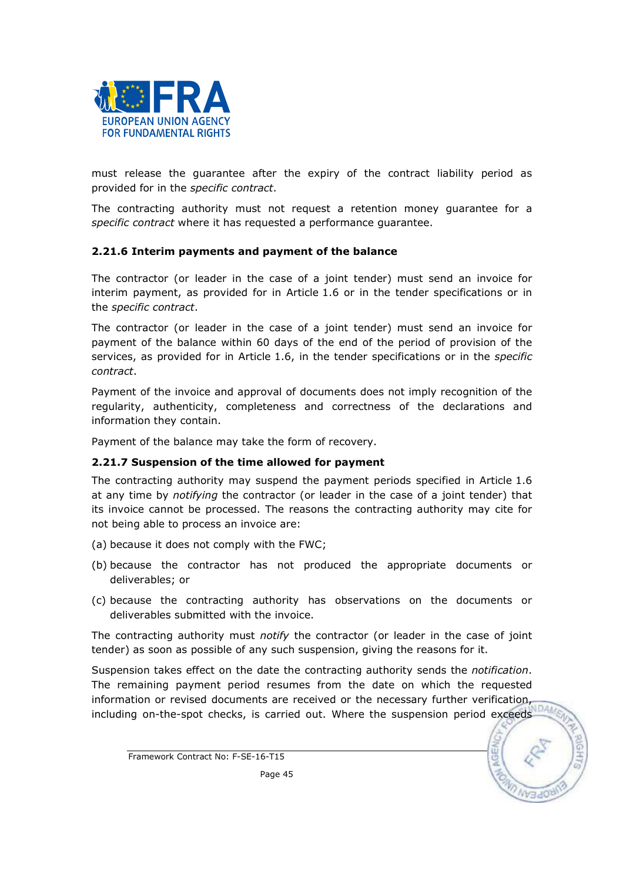

must release the guarantee after the expiry of the contract liability period as provided for in the specific contract.

The contracting authority must not request a retention money guarantee for a specific contract where it has requested a performance guarantee.

#### 2.21.6 Interim payments and payment of the balance

The contractor (or leader in the case of a joint tender) must send an invoice for interim payment, as provided for in Article 1.6 or in the tender specifications or in the specific contract.

The contractor (or leader in the case of a joint tender) must send an invoice for payment of the balance within 60 days of the end of the period of provision of the services, as provided for in Article 1.6, in the tender specifications or in the specific contract.

Payment of the invoice and approval of documents does not imply recognition of the regularity, authenticity, completeness and correctness of the declarations and information they contain.

Payment of the balance may take the form of recovery.

#### 2.21.7 Suspension of the time allowed for payment

The contracting authority may suspend the payment periods specified in Article 1.6 at any time by *notifying* the contractor (or leader in the case of a joint tender) that its invoice cannot be processed. The reasons the contracting authority may cite for not being able to process an invoice are:

- (a) because it does not comply with the FWC;
- (b) because the contractor has not produced the appropriate documents or deliverables; or
- (c) because the contracting authority has observations on the documents or deliverables submitted with the invoice.

The contracting authority must *notify* the contractor (or leader in the case of joint tender) as soon as possible of any such suspension, giving the reasons for it.

Suspension takes effect on the date the contracting authority sends the *notification*. The remaining payment period resumes from the date on which the requested information or revised documents are received or the necessary further verification,  $\frac{1}{100}$ including on-the-spot checks, is carried out. Where the suspension period exceeds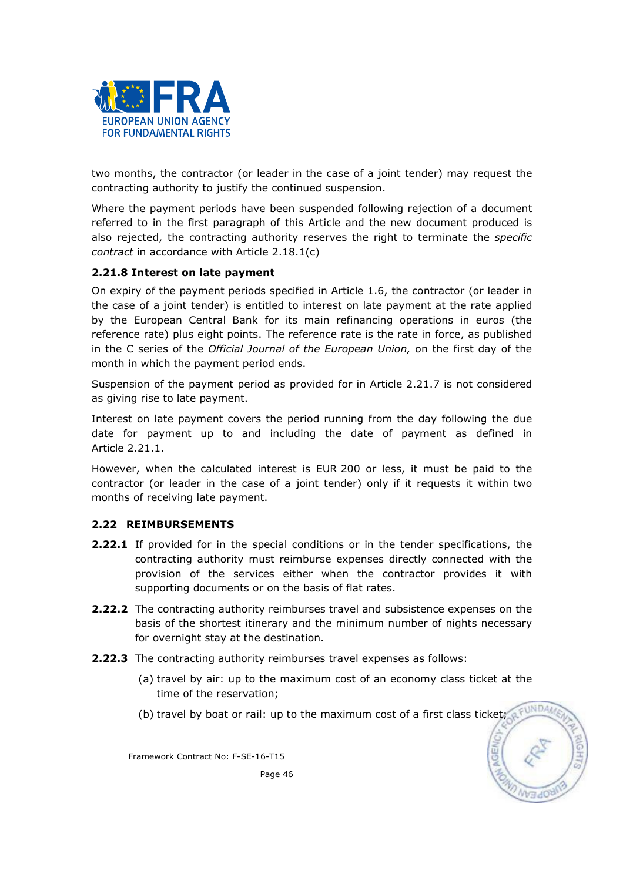

two months, the contractor (or leader in the case of a joint tender) may request the contracting authority to justify the continued suspension.

Where the payment periods have been suspended following rejection of a document referred to in the first paragraph of this Article and the new document produced is also rejected, the contracting authority reserves the right to terminate the *specific* contract in accordance with Article 2.18.1(c)

## 2.21.8 Interest on late payment

On expiry of the payment periods specified in Article 1.6, the contractor (or leader in the case of a joint tender) is entitled to interest on late payment at the rate applied by the European Central Bank for its main refinancing operations in euros (the reference rate) plus eight points. The reference rate is the rate in force, as published in the C series of the Official Journal of the European Union, on the first day of the month in which the payment period ends.

Suspension of the payment period as provided for in Article 2.21.7 is not considered as giving rise to late payment.

Interest on late payment covers the period running from the day following the due date for payment up to and including the date of payment as defined in Article 2.21.1.

However, when the calculated interest is EUR 200 or less, it must be paid to the contractor (or leader in the case of a joint tender) only if it requests it within two months of receiving late payment.

#### 2.22 REIMBURSEMENTS

- 2.22.1 If provided for in the special conditions or in the tender specifications, the contracting authority must reimburse expenses directly connected with the provision of the services either when the contractor provides it with supporting documents or on the basis of flat rates.
- 2.22.2 The contracting authority reimburses travel and subsistence expenses on the basis of the shortest itinerary and the minimum number of nights necessary for overnight stay at the destination.
- 2.22.3 The contracting authority reimburses travel expenses as follows:
	- (a) travel by air: up to the maximum cost of an economy class ticket at the time of the reservation;
	- (b) travel by boat or rail: up to the maximum cost of a first class ticket;

Framework Contract No: F-SE-16-T15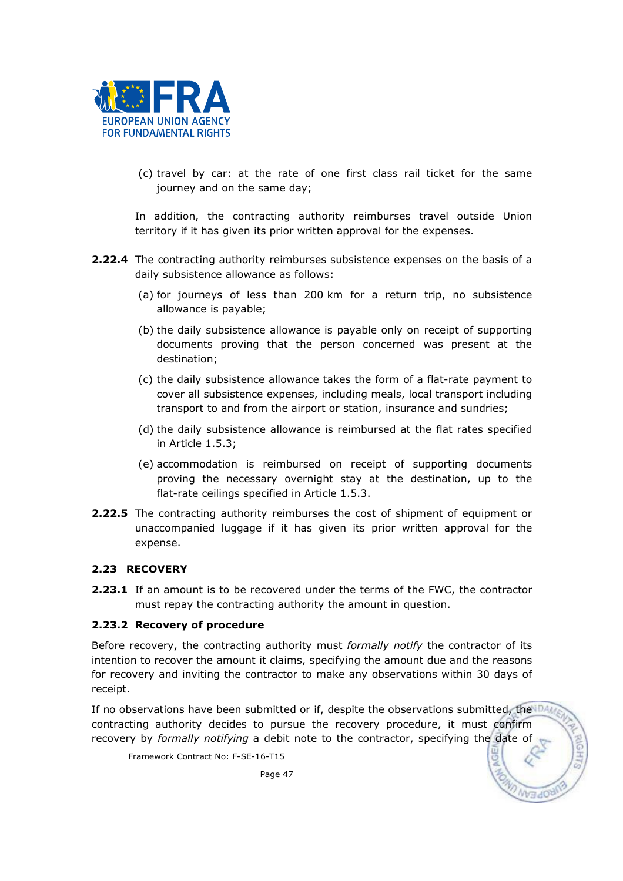

(c) travel by car: at the rate of one first class rail ticket for the same journey and on the same day;

In addition, the contracting authority reimburses travel outside Union territory if it has given its prior written approval for the expenses.

- 2.22.4 The contracting authority reimburses subsistence expenses on the basis of a daily subsistence allowance as follows:
	- (a) for journeys of less than 200 km for a return trip, no subsistence allowance is payable;
	- (b) the daily subsistence allowance is payable only on receipt of supporting documents proving that the person concerned was present at the destination;
	- (c) the daily subsistence allowance takes the form of a flat-rate payment to cover all subsistence expenses, including meals, local transport including transport to and from the airport or station, insurance and sundries;
	- (d) the daily subsistence allowance is reimbursed at the flat rates specified in Article 1.5.3;
	- (e) accommodation is reimbursed on receipt of supporting documents proving the necessary overnight stay at the destination, up to the flat-rate ceilings specified in Article 1.5.3.
- 2.22.5 The contracting authority reimburses the cost of shipment of equipment or unaccompanied luggage if it has given its prior written approval for the expense.

## 2.23 RECOVERY

**2.23.1** If an amount is to be recovered under the terms of the FWC, the contractor must repay the contracting authority the amount in question.

## 2.23.2 Recovery of procedure

Before recovery, the contracting authority must formally notify the contractor of its intention to recover the amount it claims, specifying the amount due and the reasons for recovery and inviting the contractor to make any observations within 30 days of receipt.

If no observations have been submitted or if, despite the observations submitted, the DAM contracting authority decides to pursue the recovery procedure, it must confirm recovery by formally notifying a debit note to the contractor, specifying the date of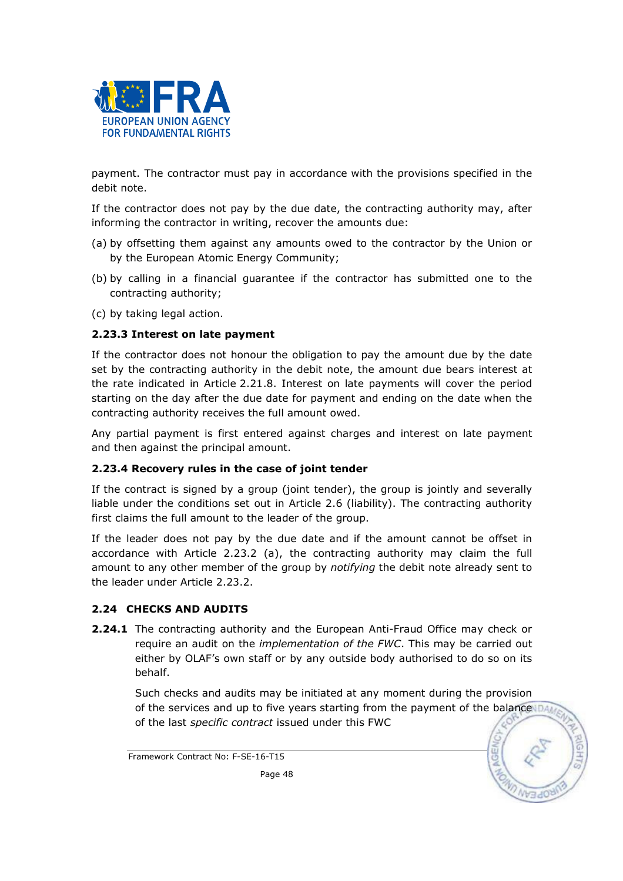

payment. The contractor must pay in accordance with the provisions specified in the debit note.

If the contractor does not pay by the due date, the contracting authority may, after informing the contractor in writing, recover the amounts due:

- (a) by offsetting them against any amounts owed to the contractor by the Union or by the European Atomic Energy Community;
- (b) by calling in a financial guarantee if the contractor has submitted one to the contracting authority;
- (c) by taking legal action.

## 2.23.3 Interest on late payment

If the contractor does not honour the obligation to pay the amount due by the date set by the contracting authority in the debit note, the amount due bears interest at the rate indicated in Article 2.21.8. Interest on late payments will cover the period starting on the day after the due date for payment and ending on the date when the contracting authority receives the full amount owed.

Any partial payment is first entered against charges and interest on late payment and then against the principal amount.

#### 2.23.4 Recovery rules in the case of joint tender

If the contract is signed by a group (joint tender), the group is jointly and severally liable under the conditions set out in Article 2.6 (liability). The contracting authority first claims the full amount to the leader of the group.

If the leader does not pay by the due date and if the amount cannot be offset in accordance with Article 2.23.2 (a), the contracting authority may claim the full amount to any other member of the group by notifying the debit note already sent to the leader under Article 2.23.2.

## 2.24 CHECKS AND AUDITS

2.24.1 The contracting authority and the European Anti-Fraud Office may check or require an audit on the *implementation of the FWC*. This may be carried out either by OLAF's own staff or by any outside body authorised to do so on its behalf.

Such checks and audits may be initiated at any moment during the provision of the services and up to five years starting from the payment of the balance  $DA$ of the last specific contract issued under this FWC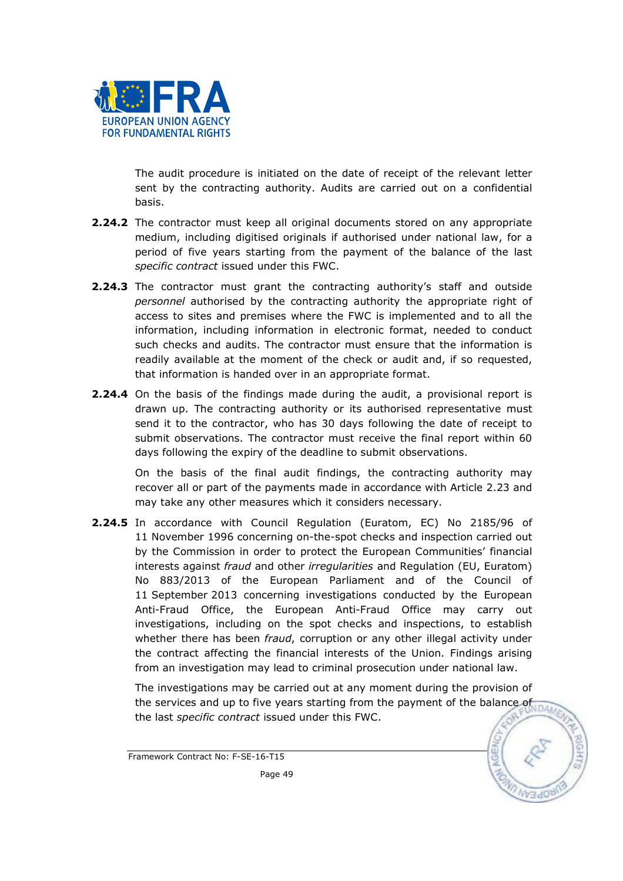

The audit procedure is initiated on the date of receipt of the relevant letter sent by the contracting authority. Audits are carried out on a confidential basis.

- **2.24.2** The contractor must keep all original documents stored on any appropriate medium, including digitised originals if authorised under national law, for a period of five years starting from the payment of the balance of the last specific contract issued under this FWC.
- **2.24.3** The contractor must grant the contracting authority's staff and outside personnel authorised by the contracting authority the appropriate right of access to sites and premises where the FWC is implemented and to all the information, including information in electronic format, needed to conduct such checks and audits. The contractor must ensure that the information is readily available at the moment of the check or audit and, if so requested, that information is handed over in an appropriate format.
- 2.24.4 On the basis of the findings made during the audit, a provisional report is drawn up. The contracting authority or its authorised representative must send it to the contractor, who has 30 days following the date of receipt to submit observations. The contractor must receive the final report within 60 days following the expiry of the deadline to submit observations.

On the basis of the final audit findings, the contracting authority may recover all or part of the payments made in accordance with Article 2.23 and may take any other measures which it considers necessary.

2.24.5 In accordance with Council Regulation (Euratom, EC) No 2185/96 of 11 November 1996 concerning on-the-spot checks and inspection carried out by the Commission in order to protect the European Communities' financial interests against fraud and other irregularities and Regulation (EU, Euratom) No 883/2013 of the European Parliament and of the Council of 11 September 2013 concerning investigations conducted by the European Anti-Fraud Office, the European Anti-Fraud Office may carry out investigations, including on the spot checks and inspections, to establish whether there has been fraud, corruption or any other illegal activity under the contract affecting the financial interests of the Union. Findings arising from an investigation may lead to criminal prosecution under national law.

 The investigations may be carried out at any moment during the provision of the *investigations may* the vears starting from the payment of the balance of the last *specific contract* issued under this FWC.

Framework Contract No: F-SE-16-T15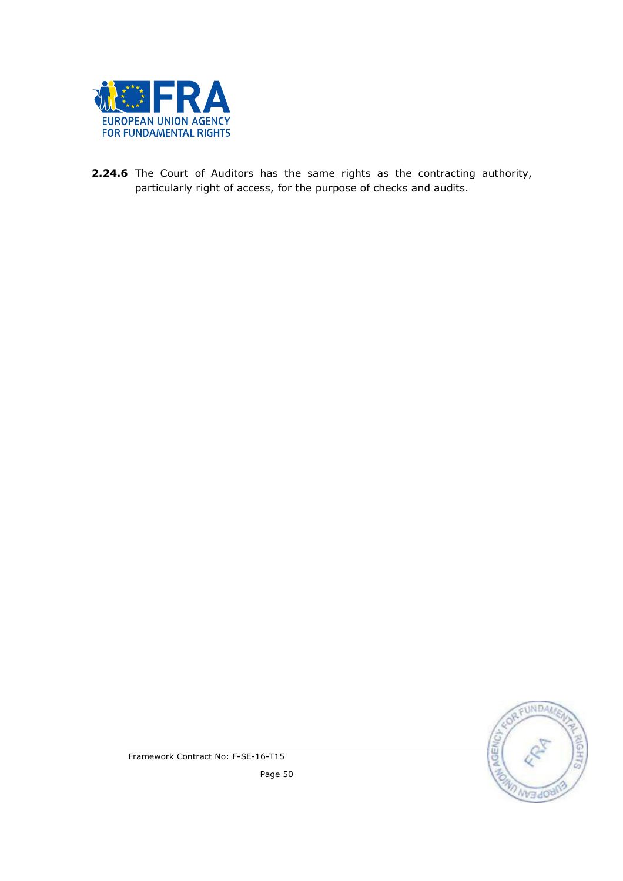

2.24.6 The Court of Auditors has the same rights as the contracting authority, particularly right of access, for the purpose of checks and audits.



Framework Contract No: F-SE-16-T15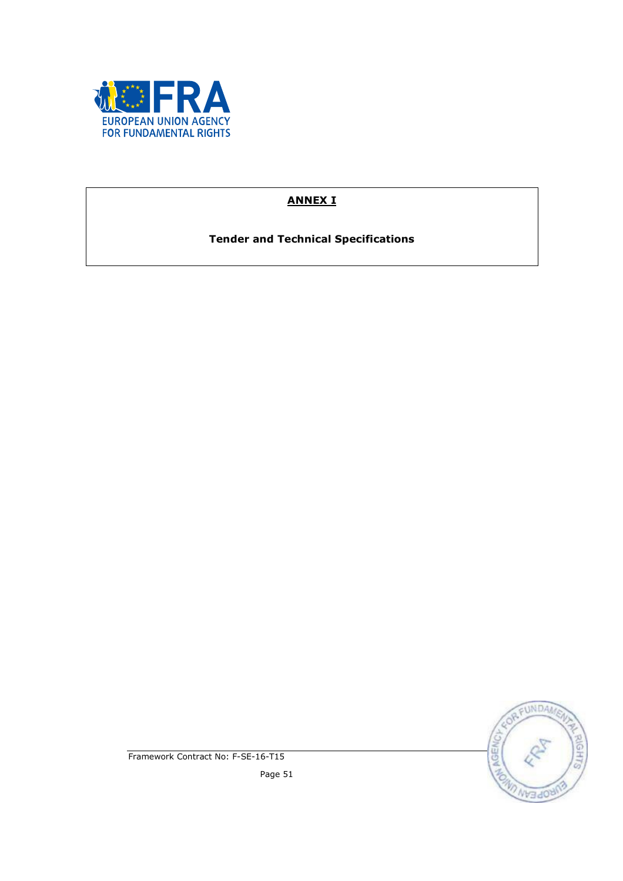

# ANNEX I

Tender and Technical Specifications



Framework Contract No: F-SE-16-T15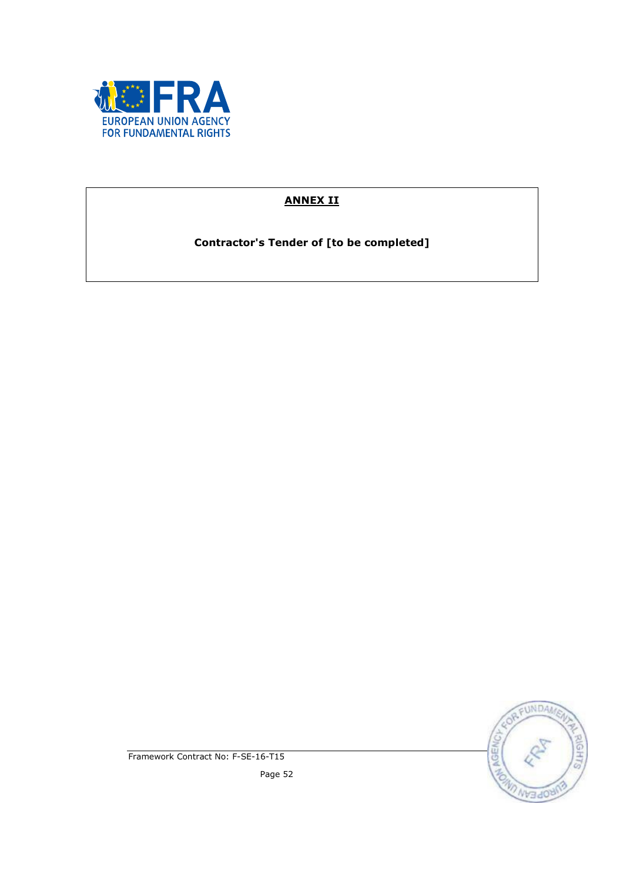

# ANNEX II

Contractor's Tender of [to be completed]



Framework Contract No: F-SE-16-T15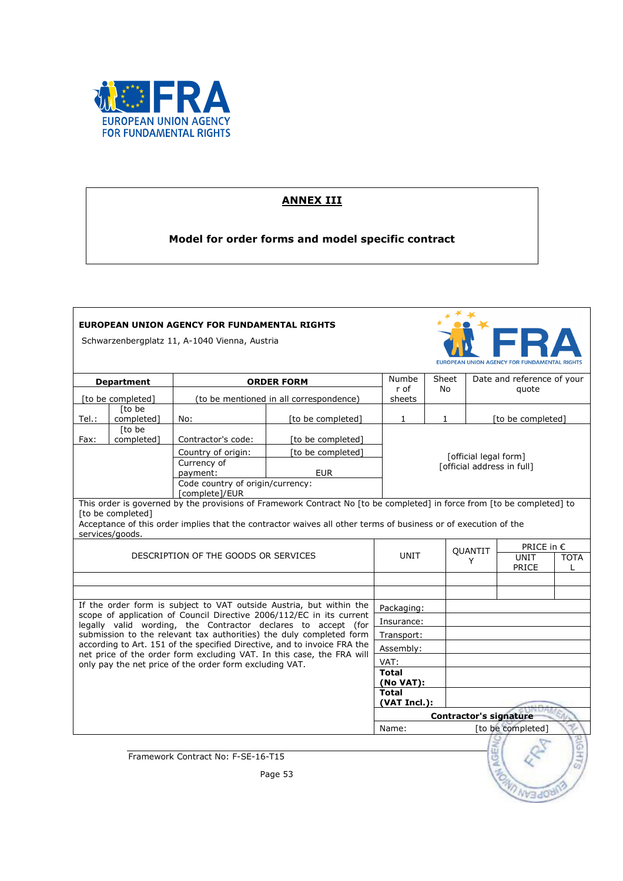

## ANNEX III

Model for order forms and model specific contract

## EUROPEAN UNION AGENCY FOR FUNDAMENTAL RIGHTS

Schwarzenbergplatz 11, A-1040 Vienna, Austria



| <b>Department</b>                                         |                                      | <b>ORDER FORM</b>                                       |                                                                                                                                                   | Numbe<br>r of             | Sheet<br>No.               |         | Date and reference of your<br>quote |                  |  |
|-----------------------------------------------------------|--------------------------------------|---------------------------------------------------------|---------------------------------------------------------------------------------------------------------------------------------------------------|---------------------------|----------------------------|---------|-------------------------------------|------------------|--|
| [to be completed]                                         |                                      | (to be mentioned in all correspondence)                 |                                                                                                                                                   | sheets                    |                            |         |                                     |                  |  |
| Tel.:                                                     | [to be]<br>completed]                | No:                                                     | [to be completed]                                                                                                                                 | $\mathbf{1}$              | $\mathbf{1}$               |         | [to be completed]                   |                  |  |
| Fax:                                                      | Ito be<br>completed]                 | Contractor's code:                                      | [to be completed]                                                                                                                                 |                           |                            |         |                                     |                  |  |
|                                                           |                                      | Country of origin:                                      | [to be completed]                                                                                                                                 |                           | [official legal form]      |         |                                     |                  |  |
|                                                           |                                      | Currency of<br>payment:                                 | <b>EUR</b>                                                                                                                                        |                           | [official address in full] |         |                                     |                  |  |
|                                                           |                                      | Code country of origin/currency:<br>[complete]/EUR      |                                                                                                                                                   |                           |                            |         |                                     |                  |  |
|                                                           |                                      |                                                         | This order is governed by the provisions of Framework Contract No [to be completed] in force from [to be completed] to                            |                           |                            |         |                                     |                  |  |
|                                                           | [to be completed]<br>services/goods. |                                                         | Acceptance of this order implies that the contractor waives all other terms of business or of execution of the                                    |                           |                            |         |                                     |                  |  |
|                                                           |                                      |                                                         |                                                                                                                                                   |                           |                            | QUANTIT | PRICE in $\epsilon$                 |                  |  |
|                                                           | DESCRIPTION OF THE GOODS OR SERVICES |                                                         |                                                                                                                                                   |                           | UNIT<br>Y                  |         | <b>UNIT</b><br>PRICE                | <b>TOTA</b><br>L |  |
|                                                           |                                      |                                                         |                                                                                                                                                   |                           |                            |         |                                     |                  |  |
|                                                           |                                      |                                                         |                                                                                                                                                   |                           |                            |         |                                     |                  |  |
|                                                           |                                      |                                                         | If the order form is subject to VAT outside Austria, but within the<br>scope of application of Council Directive 2006/112/EC in its current       | Packaging:                |                            |         |                                     |                  |  |
|                                                           |                                      |                                                         | legally valid wording, the Contractor declares to accept (for                                                                                     | Insurance:                |                            |         |                                     |                  |  |
|                                                           |                                      |                                                         | submission to the relevant tax authorities) the duly completed form                                                                               | Transport:                |                            |         |                                     |                  |  |
|                                                           |                                      |                                                         | according to Art. 151 of the specified Directive, and to invoice FRA the<br>net price of the order form excluding VAT. In this case, the FRA will | Assembly:                 |                            |         |                                     |                  |  |
|                                                           |                                      | only pay the net price of the order form excluding VAT. |                                                                                                                                                   | VAT:                      |                            |         |                                     |                  |  |
|                                                           |                                      |                                                         |                                                                                                                                                   | <b>Total</b><br>(No VAT): |                            |         |                                     |                  |  |
|                                                           |                                      |                                                         | <b>Total</b><br>(VAT Incl.):                                                                                                                      |                           |                            |         |                                     |                  |  |
| <b>Contractor's signature</b>                             |                                      |                                                         |                                                                                                                                                   |                           |                            |         |                                     |                  |  |
| Name:<br>[to be completed]                                |                                      |                                                         |                                                                                                                                                   |                           |                            |         |                                     |                  |  |
| G)<br>Framework Contract No: F-SE-16-T15<br>Ö,<br>Page 53 |                                      |                                                         |                                                                                                                                                   |                           |                            |         |                                     |                  |  |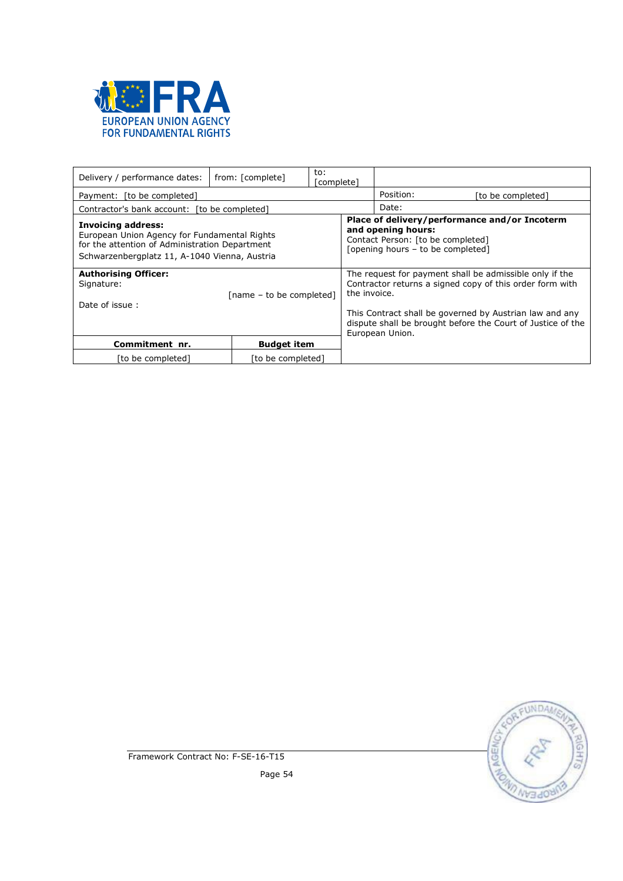

| Delivery / performance dates:                                                                                                                                                | from: [complete]   | to:<br>complete] |              |                                                                                                                                               |                                                                                                                                                                                                                                               |  |
|------------------------------------------------------------------------------------------------------------------------------------------------------------------------------|--------------------|------------------|--------------|-----------------------------------------------------------------------------------------------------------------------------------------------|-----------------------------------------------------------------------------------------------------------------------------------------------------------------------------------------------------------------------------------------------|--|
| Payment: [to be completed]                                                                                                                                                   |                    |                  |              | Position:                                                                                                                                     | [to be completed]                                                                                                                                                                                                                             |  |
| Contractor's bank account: [to be completed]                                                                                                                                 |                    |                  |              | Date:                                                                                                                                         |                                                                                                                                                                                                                                               |  |
| <b>Invoicing address:</b><br>European Union Agency for Fundamental Rights<br>for the attention of Administration Department<br>Schwarzenbergplatz 11, A-1040 Vienna, Austria |                    |                  |              | Place of delivery/performance and/or Incoterm<br>and opening hours:<br>Contact Person: [to be completed]<br>[opening hours - to be completed] |                                                                                                                                                                                                                                               |  |
| <b>Authorising Officer:</b><br>Signature:<br>[name - to be completed]<br>Date of issue:                                                                                      |                    |                  | the invoice. | European Union.                                                                                                                               | The request for payment shall be admissible only if the<br>Contractor returns a signed copy of this order form with<br>This Contract shall be governed by Austrian law and any<br>dispute shall be brought before the Court of Justice of the |  |
| Commitment nr.                                                                                                                                                               | <b>Budget item</b> |                  |              |                                                                                                                                               |                                                                                                                                                                                                                                               |  |
| [to be completed]<br>[to be completed]                                                                                                                                       |                    |                  |              |                                                                                                                                               |                                                                                                                                                                                                                                               |  |

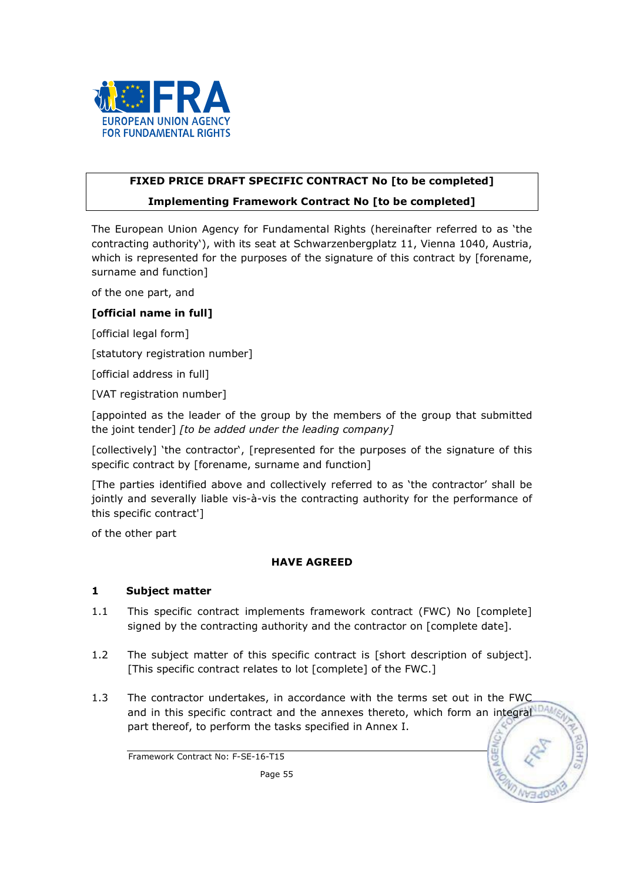

# FIXED PRICE DRAFT SPECIFIC CONTRACT No Ito be completed] Implementing Framework Contract No [to be completed]

The European Union Agency for Fundamental Rights (hereinafter referred to as 'the contracting authority'), with its seat at Schwarzenbergplatz 11, Vienna 1040, Austria, which is represented for the purposes of the signature of this contract by [forename, surname and function]

of the one part, and

## [official name in full]

[official legal form]

[statutory registration number]

[official address in full]

[VAT registration number]

[appointed as the leader of the group by the members of the group that submitted the joint tender] [to be added under the leading company]

[collectively] 'the contractor', [represented for the purposes of the signature of this specific contract by [forename, surname and function]

[The parties identified above and collectively referred to as 'the contractor' shall be jointly and severally liable vis-à-vis the contracting authority for the performance of this specific contract']

of the other part

## HAVE AGREED

## 1 Subject matter

- 1.1 This specific contract implements framework contract (FWC) No [complete] signed by the contracting authority and the contractor on [complete date].
- 1.2 The subject matter of this specific contract is [short description of subject]. [This specific contract relates to lot [complete] of the FWC.]
- 1.3 The contractor undertakes, in accordance with the terms set out in the FWC and in this specific contract and the annexes thereto, which form an integral part thereof, to perform the tasks specified in Annex I.

Framework Contract No: F-SE-16-T15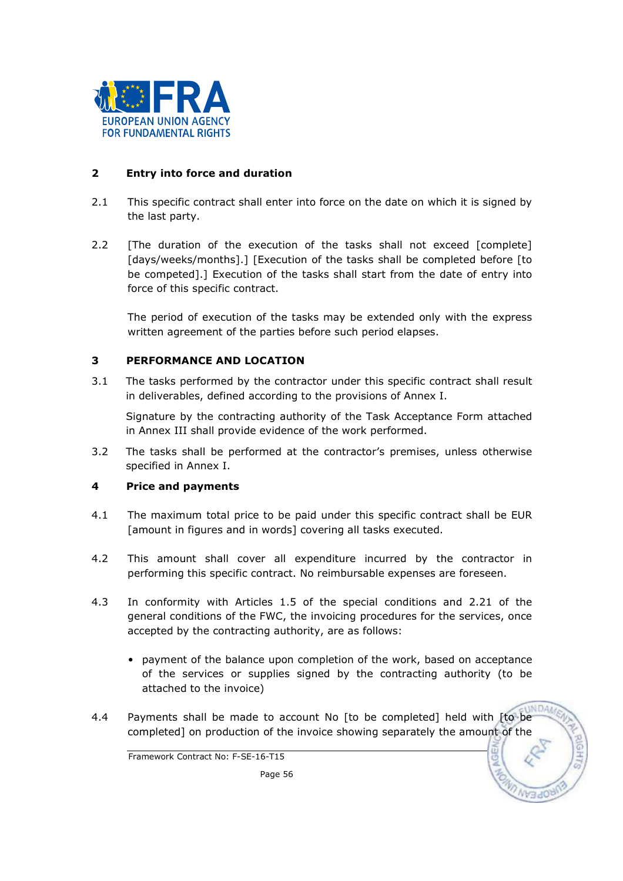

## 2 Entry into force and duration

- 2.1 This specific contract shall enter into force on the date on which it is signed by the last party.
- 2.2 [The duration of the execution of the tasks shall not exceed [complete] [days/weeks/months].] [Execution of the tasks shall be completed before [to be competed].] Execution of the tasks shall start from the date of entry into force of this specific contract.

The period of execution of the tasks may be extended only with the express written agreement of the parties before such period elapses.

## 3 PERFORMANCE AND LOCATION

3.1 The tasks performed by the contractor under this specific contract shall result in deliverables, defined according to the provisions of Annex I.

 Signature by the contracting authority of the Task Acceptance Form attached in Annex III shall provide evidence of the work performed.

3.2 The tasks shall be performed at the contractor's premises, unless otherwise specified in Annex I.

## 4 Price and payments

- 4.1 The maximum total price to be paid under this specific contract shall be EUR [amount in figures and in words] covering all tasks executed.
- 4.2 This amount shall cover all expenditure incurred by the contractor in performing this specific contract. No reimbursable expenses are foreseen.
- 4.3 In conformity with Articles 1.5 of the special conditions and 2.21 of the general conditions of the FWC, the invoicing procedures for the services, once accepted by the contracting authority, are as follows:
	- payment of the balance upon completion of the work, based on acceptance of the services or supplies signed by the contracting authority (to be attached to the invoice)
- 4.4 Payments shall be made to account No [to be completed] held with [to be completed] on production of the invoice showing separately the amount of the

Framework Contract No: F-SE-16-T15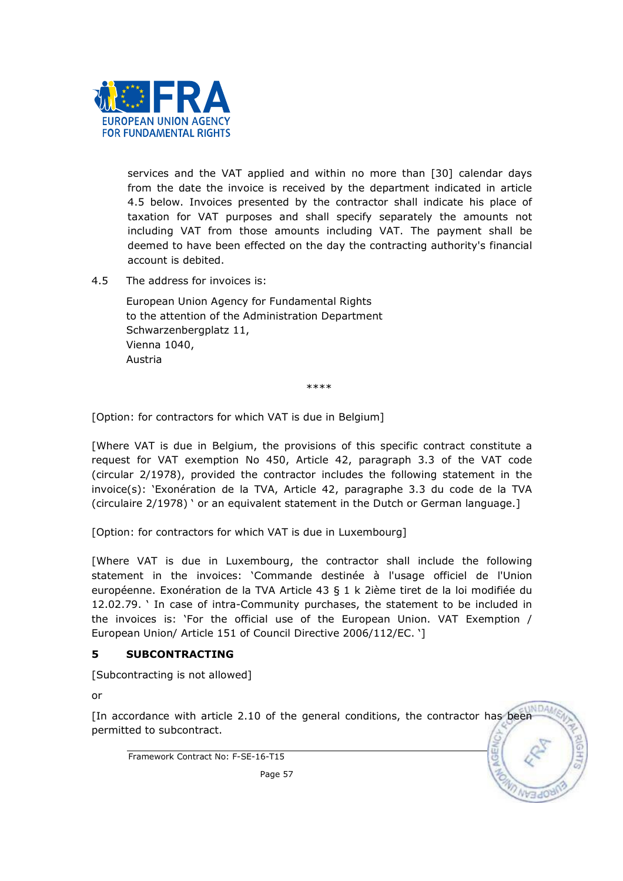

services and the VAT applied and within no more than [30] calendar days from the date the invoice is received by the department indicated in article 4.5 below. Invoices presented by the contractor shall indicate his place of taxation for VAT purposes and shall specify separately the amounts not including VAT from those amounts including VAT. The payment shall be deemed to have been effected on the day the contracting authority's financial account is debited.

4.5 The address for invoices is:

 European Union Agency for Fundamental Rights to the attention of the Administration Department Schwarzenbergplatz 11, Vienna 1040, Austria

\*\*\*\*

[Option: for contractors for which VAT is due in Belgium]

[Where VAT is due in Belgium, the provisions of this specific contract constitute a request for VAT exemption No 450, Article 42, paragraph 3.3 of the VAT code (circular 2/1978), provided the contractor includes the following statement in the invoice(s): 'Exonération de la TVA, Article 42, paragraphe 3.3 du code de la TVA (circulaire 2/1978) ' or an equivalent statement in the Dutch or German language.]

[Option: for contractors for which VAT is due in Luxembourg]

[Where VAT is due in Luxembourg, the contractor shall include the following statement in the invoices: 'Commande destinée à l'usage officiel de l'Union européenne. Exonération de la TVA Article 43 § 1 k 2ième tiret de la loi modifiée du 12.02.79. ' In case of intra-Community purchases, the statement to be included in the invoices is: 'For the official use of the European Union. VAT Exemption / European Union/ Article 151 of Council Directive 2006/112/EC. ']

## 5 SUBCONTRACTING

[Subcontracting is not allowed]

or

[In accordance with article 2.10 of the general conditions, the contractor has been permitted to subcontract.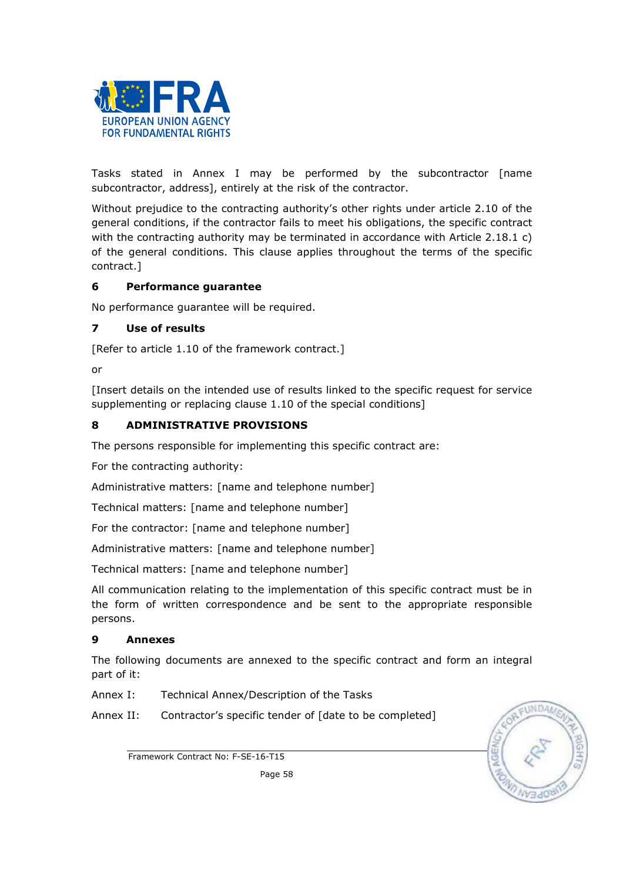

Tasks stated in Annex I may be performed by the subcontractor [name subcontractor, address], entirely at the risk of the contractor.

Without prejudice to the contracting authority's other rights under article 2.10 of the general conditions, if the contractor fails to meet his obligations, the specific contract with the contracting authority may be terminated in accordance with Article 2.18.1 c) of the general conditions. This clause applies throughout the terms of the specific contract.]

## 6 Performance guarantee

No performance guarantee will be required.

## 7 Use of results

[Refer to article 1.10 of the framework contract.]

or

[Insert details on the intended use of results linked to the specific request for service supplementing or replacing clause 1.10 of the special conditions]

## 8 ADMINISTRATIVE PROVISIONS

The persons responsible for implementing this specific contract are:

For the contracting authority:

Administrative matters: [name and telephone number]

Technical matters: [name and telephone number]

For the contractor: [name and telephone number]

Administrative matters: [name and telephone number]

Technical matters: [name and telephone number]

All communication relating to the implementation of this specific contract must be in the form of written correspondence and be sent to the appropriate responsible persons.

## 9 Annexes

The following documents are annexed to the specific contract and form an integral part of it:

Annex I: Technical Annex/Description of the Tasks

Annex II: Contractor's specific tender of [date to be completed]



Framework Contract No: F-SE-16-T15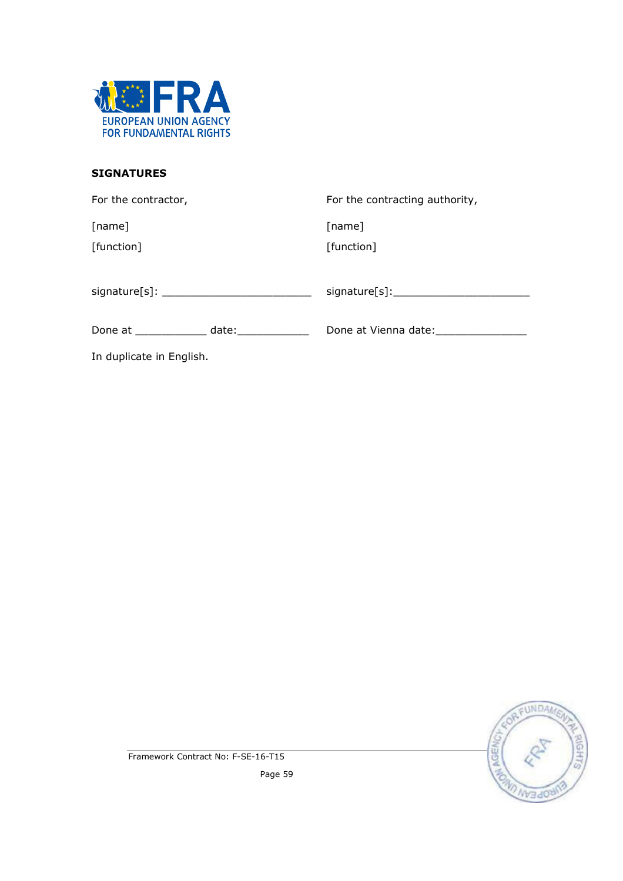

## SIGNATURES

| For the contractor,                      | For the contracting authority, |
|------------------------------------------|--------------------------------|
| [name]                                   | [name]                         |
| [function]                               | [function]                     |
|                                          |                                |
| Done at ______________ date: ___________ |                                |
| In duplicate in English.                 |                                |



Framework Contract No: F-SE-16-T15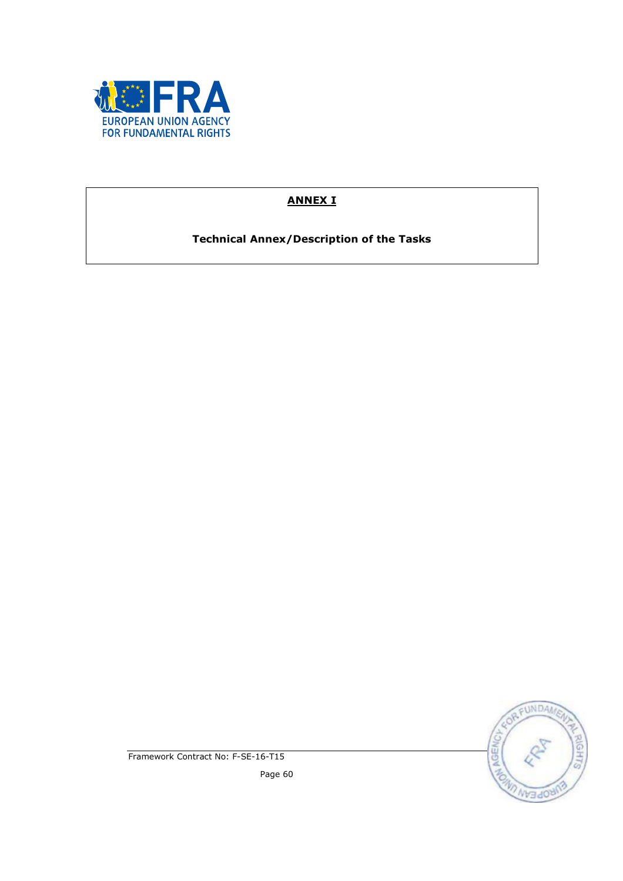

# ANNEX I

Technical Annex/Description of the Tasks



Framework Contract No: F-SE-16-T15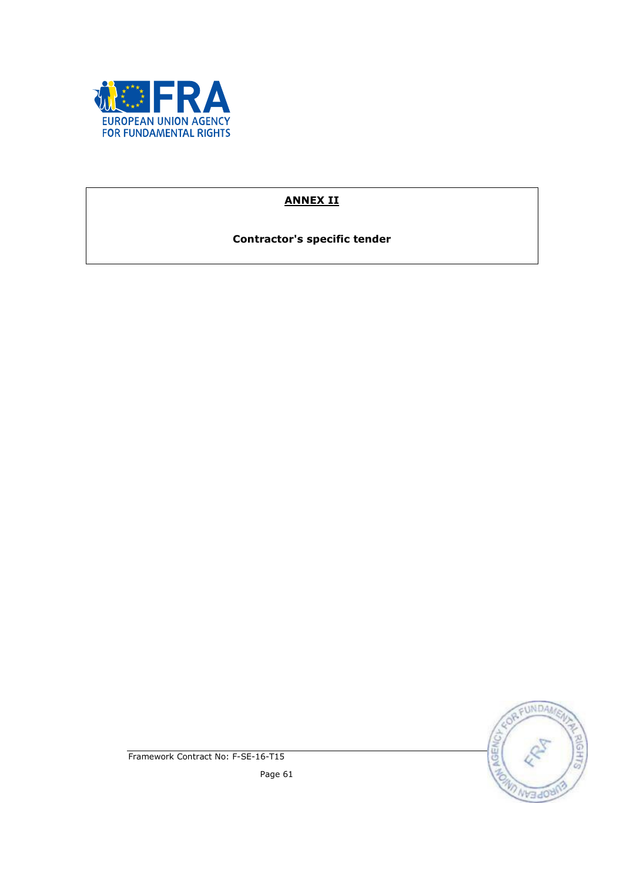

# ANNEX II

Contractor's specific tender



Framework Contract No: F-SE-16-T15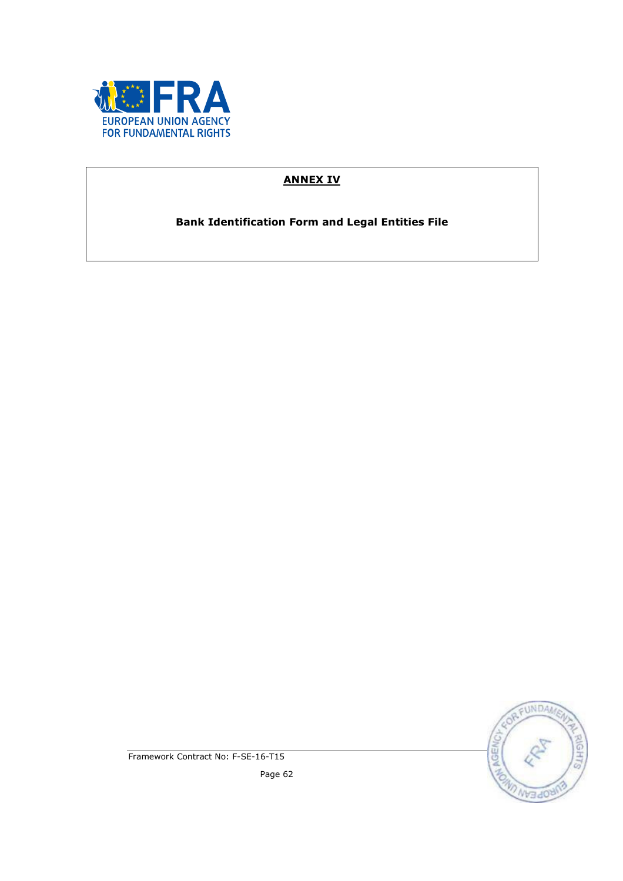

# ANNEX IV

Bank Identification Form and Legal Entities File



Framework Contract No: F-SE-16-T15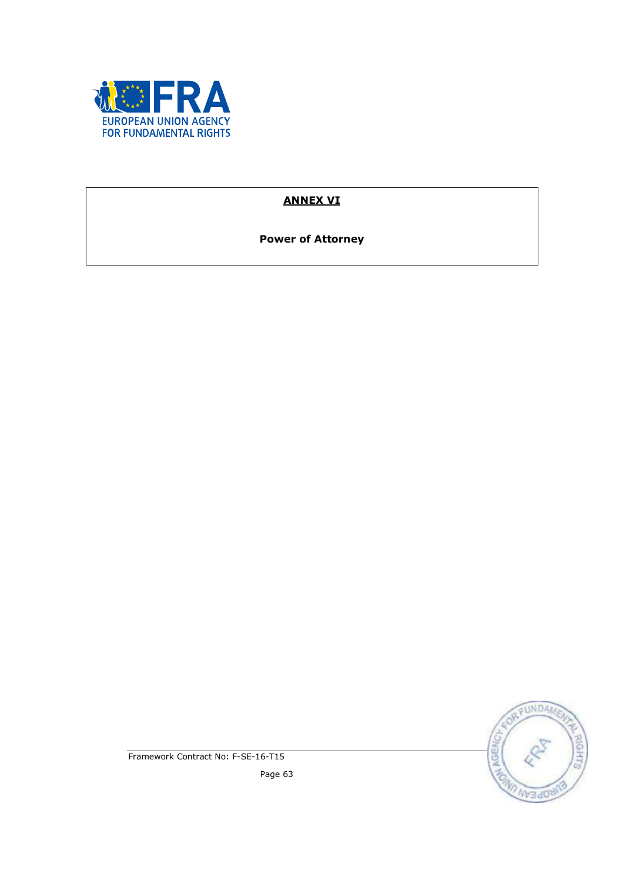

# ANNEX VI

Power of Attorney



Framework Contract No: F-SE-16-T15